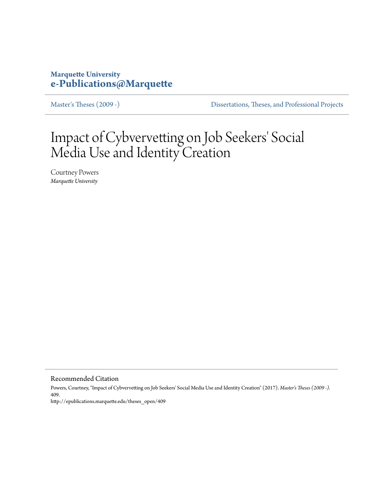## **Marquette University [e-Publications@Marquette](http://epublications.marquette.edu)**

[Master's Theses \(2009 -\)](http://epublications.marquette.edu/theses_open) [Dissertations, Theses, and Professional Projects](http://epublications.marquette.edu/diss_theses)

# Impact of Cybvervetting on Job Seekers' Social Media Use and Identity Creation

Courtney Powers *Marquette University*

Recommended Citation

Powers, Courtney, "Impact of Cybvervetting on Job Seekers' Social Media Use and Identity Creation" (2017). *Master's Theses (2009 -)*. 409. http://epublications.marquette.edu/theses\_open/409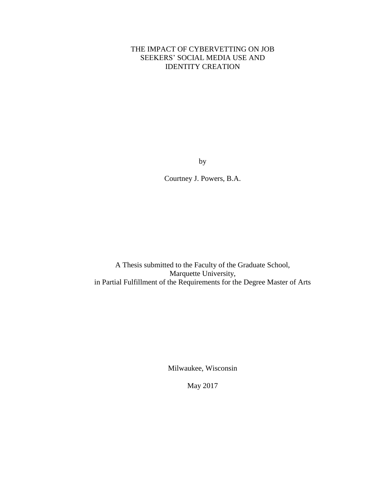## THE IMPACT OF CYBERVETTING ON JOB SEEKERS' SOCIAL MEDIA USE AND IDENTITY CREATION

by

Courtney J. Powers, B.A.

A Thesis submitted to the Faculty of the Graduate School, Marquette University, in Partial Fulfillment of the Requirements for the Degree Master of Arts

Milwaukee, Wisconsin

May 2017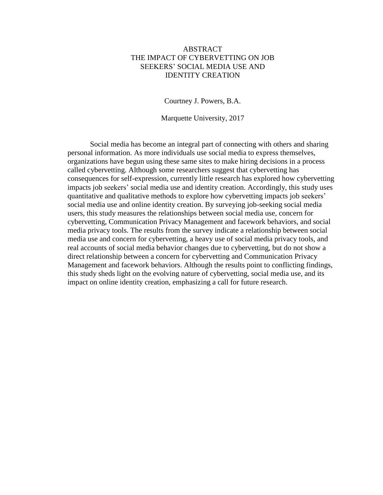## ABSTRACT THE IMPACT OF CYBERVETTING ON JOB SEEKERS' SOCIAL MEDIA USE AND IDENTITY CREATION

Courtney J. Powers, B.A.

Marquette University, 2017

Social media has become an integral part of connecting with others and sharing personal information. As more individuals use social media to express themselves, organizations have begun using these same sites to make hiring decisions in a process called cybervetting. Although some researchers suggest that cybervetting has consequences for self-expression, currently little research has explored how cybervetting impacts job seekers' social media use and identity creation. Accordingly, this study uses quantitative and qualitative methods to explore how cybervetting impacts job seekers' social media use and online identity creation. By surveying job-seeking social media users, this study measures the relationships between social media use, concern for cybervetting, Communication Privacy Management and facework behaviors, and social media privacy tools. The results from the survey indicate a relationship between social media use and concern for cybervetting, a heavy use of social media privacy tools, and real accounts of social media behavior changes due to cybervetting, but do not show a direct relationship between a concern for cybervetting and Communication Privacy Management and facework behaviors. Although the results point to conflicting findings, this study sheds light on the evolving nature of cybervetting, social media use, and its impact on online identity creation, emphasizing a call for future research.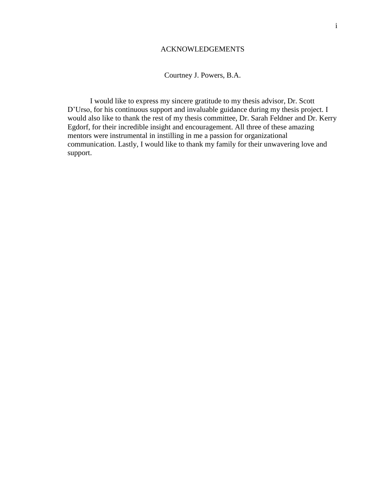## ACKNOWLEDGEMENTS

Courtney J. Powers, B.A.

I would like to express my sincere gratitude to my thesis advisor, Dr. Scott D'Urso, for his continuous support and invaluable guidance during my thesis project. I would also like to thank the rest of my thesis committee, Dr. Sarah Feldner and Dr. Kerry Egdorf, for their incredible insight and encouragement. All three of these amazing mentors were instrumental in instilling in me a passion for organizational communication. Lastly, I would like to thank my family for their unwavering love and support.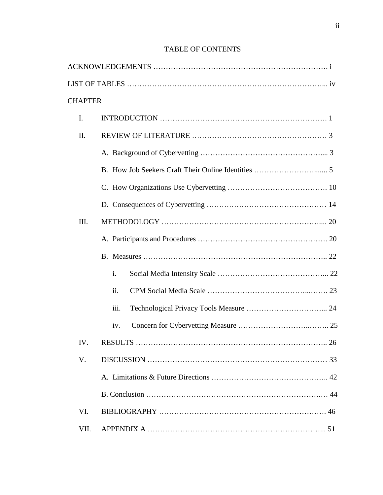## TABLE OF CONTENTS

| <b>CHAPTER</b> |                |     |  |  |  |
|----------------|----------------|-----|--|--|--|
| I.             |                |     |  |  |  |
| II.            |                |     |  |  |  |
|                |                |     |  |  |  |
|                |                |     |  |  |  |
|                |                |     |  |  |  |
|                |                |     |  |  |  |
| III.           |                |     |  |  |  |
|                |                |     |  |  |  |
|                |                |     |  |  |  |
|                | i.             |     |  |  |  |
|                | ii.            |     |  |  |  |
|                | iii.           |     |  |  |  |
|                | iv.            |     |  |  |  |
| IV.            | <b>RESULTS</b> | .26 |  |  |  |
| V.             |                |     |  |  |  |
|                |                |     |  |  |  |
|                |                |     |  |  |  |
| VI.            |                |     |  |  |  |
| VII.           |                |     |  |  |  |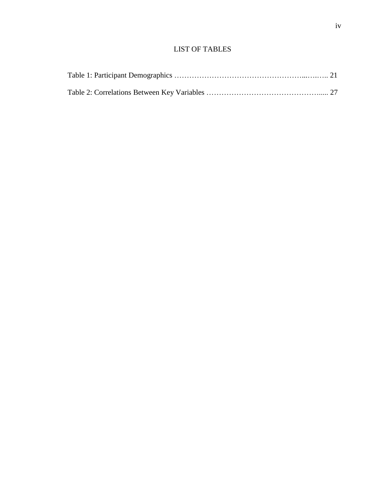## LIST OF TABLES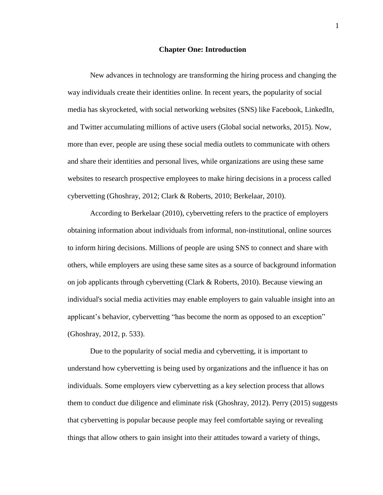#### **Chapter One: Introduction**

New advances in technology are transforming the hiring process and changing the way individuals create their identities online. In recent years, the popularity of social media has skyrocketed, with social networking websites (SNS) like Facebook, LinkedIn, and Twitter accumulating millions of active users (Global social networks, 2015). Now, more than ever, people are using these social media outlets to communicate with others and share their identities and personal lives, while organizations are using these same websites to research prospective employees to make hiring decisions in a process called cybervetting (Ghoshray, 2012; Clark & Roberts, 2010; Berkelaar, 2010).

According to Berkelaar (2010), cybervetting refers to the practice of employers obtaining information about individuals from informal, non-institutional, online sources to inform hiring decisions. Millions of people are using SNS to connect and share with others, while employers are using these same sites as a source of background information on job applicants through cybervetting (Clark & Roberts, 2010). Because viewing an individual's social media activities may enable employers to gain valuable insight into an applicant's behavior, cybervetting "has become the norm as opposed to an exception" (Ghoshray, 2012, p. 533).

Due to the popularity of social media and cybervetting, it is important to understand how cybervetting is being used by organizations and the influence it has on individuals. Some employers view cybervetting as a key selection process that allows them to conduct due diligence and eliminate risk (Ghoshray, 2012). Perry (2015) suggests that cybervetting is popular because people may feel comfortable saying or revealing things that allow others to gain insight into their attitudes toward a variety of things,

1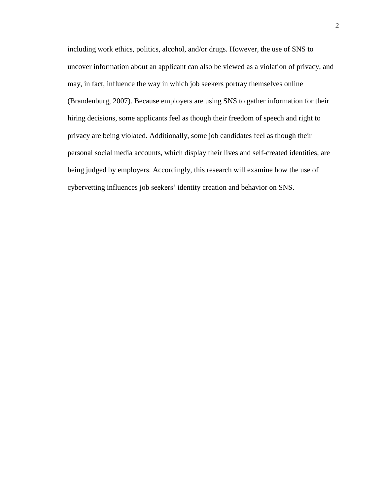including work ethics, politics, alcohol, and/or drugs. However, the use of SNS to uncover information about an applicant can also be viewed as a violation of privacy, and may, in fact, influence the way in which job seekers portray themselves online (Brandenburg, 2007). Because employers are using SNS to gather information for their hiring decisions, some applicants feel as though their freedom of speech and right to privacy are being violated. Additionally, some job candidates feel as though their personal social media accounts, which display their lives and self-created identities, are being judged by employers. Accordingly, this research will examine how the use of cybervetting influences job seekers' identity creation and behavior on SNS.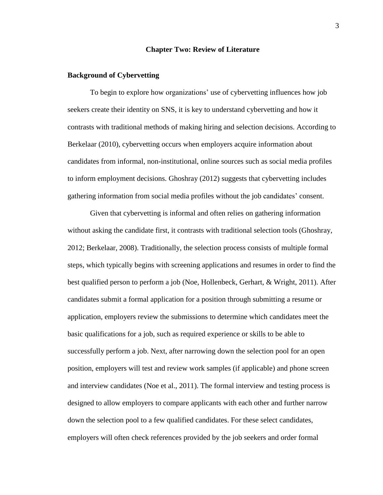#### **Chapter Two: Review of Literature**

#### **Background of Cybervetting**

To begin to explore how organizations' use of cybervetting influences how job seekers create their identity on SNS, it is key to understand cybervetting and how it contrasts with traditional methods of making hiring and selection decisions. According to Berkelaar (2010), cybervetting occurs when employers acquire information about candidates from informal, non-institutional, online sources such as social media profiles to inform employment decisions. Ghoshray (2012) suggests that cybervetting includes gathering information from social media profiles without the job candidates' consent.

Given that cybervetting is informal and often relies on gathering information without asking the candidate first, it contrasts with traditional selection tools (Ghoshray, 2012; Berkelaar, 2008). Traditionally, the selection process consists of multiple formal steps, which typically begins with screening applications and resumes in order to find the best qualified person to perform a job (Noe, Hollenbeck, Gerhart, & Wright, 2011). After candidates submit a formal application for a position through submitting a resume or application, employers review the submissions to determine which candidates meet the basic qualifications for a job, such as required experience or skills to be able to successfully perform a job. Next, after narrowing down the selection pool for an open position, employers will test and review work samples (if applicable) and phone screen and interview candidates (Noe et al., 2011). The formal interview and testing process is designed to allow employers to compare applicants with each other and further narrow down the selection pool to a few qualified candidates. For these select candidates, employers will often check references provided by the job seekers and order formal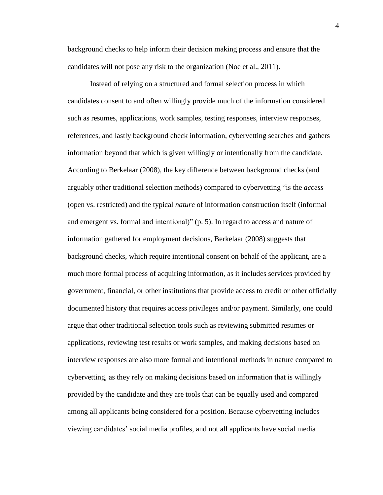background checks to help inform their decision making process and ensure that the candidates will not pose any risk to the organization (Noe et al., 2011).

Instead of relying on a structured and formal selection process in which candidates consent to and often willingly provide much of the information considered such as resumes, applications, work samples, testing responses, interview responses, references, and lastly background check information, cybervetting searches and gathers information beyond that which is given willingly or intentionally from the candidate. According to Berkelaar (2008), the key difference between background checks (and arguably other traditional selection methods) compared to cybervetting "is the *access* (open vs. restricted) and the typical *nature* of information construction itself (informal and emergent vs. formal and intentional)" (p. 5). In regard to access and nature of information gathered for employment decisions, Berkelaar (2008) suggests that background checks, which require intentional consent on behalf of the applicant, are a much more formal process of acquiring information, as it includes services provided by government, financial, or other institutions that provide access to credit or other officially documented history that requires access privileges and/or payment. Similarly, one could argue that other traditional selection tools such as reviewing submitted resumes or applications, reviewing test results or work samples, and making decisions based on interview responses are also more formal and intentional methods in nature compared to cybervetting, as they rely on making decisions based on information that is willingly provided by the candidate and they are tools that can be equally used and compared among all applicants being considered for a position. Because cybervetting includes viewing candidates' social media profiles, and not all applicants have social media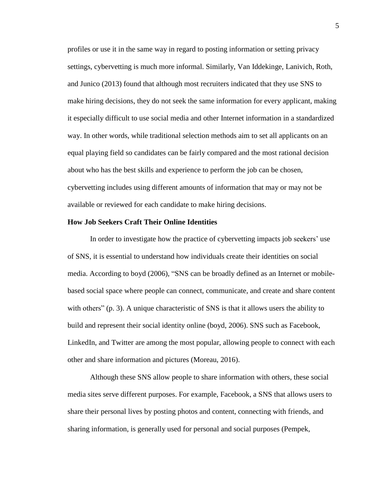profiles or use it in the same way in regard to posting information or setting privacy settings, cybervetting is much more informal. Similarly, Van Iddekinge, Lanivich, Roth, and Junico (2013) found that although most recruiters indicated that they use SNS to make hiring decisions, they do not seek the same information for every applicant, making it especially difficult to use social media and other Internet information in a standardized way. In other words, while traditional selection methods aim to set all applicants on an equal playing field so candidates can be fairly compared and the most rational decision about who has the best skills and experience to perform the job can be chosen, cybervetting includes using different amounts of information that may or may not be available or reviewed for each candidate to make hiring decisions.

#### **How Job Seekers Craft Their Online Identities**

In order to investigate how the practice of cybervetting impacts job seekers' use of SNS, it is essential to understand how individuals create their identities on social media. According to boyd (2006), "SNS can be broadly defined as an Internet or mobilebased social space where people can connect, communicate, and create and share content with others" (p. 3). A unique characteristic of SNS is that it allows users the ability to build and represent their social identity online (boyd, 2006). SNS such as Facebook, LinkedIn, and Twitter are among the most popular, allowing people to connect with each other and share information and pictures (Moreau, 2016).

Although these SNS allow people to share information with others, these social media sites serve different purposes. For example, Facebook, a SNS that allows users to share their personal lives by posting photos and content, connecting with friends, and sharing information, is generally used for personal and social purposes (Pempek,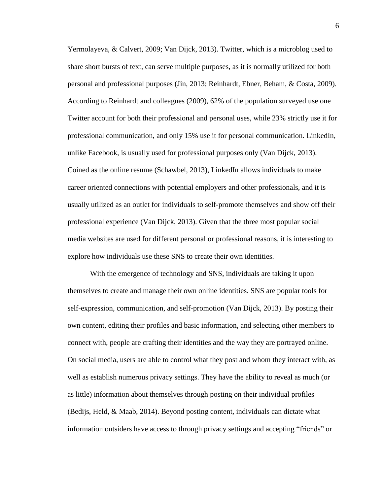Yermolayeva, & Calvert, 2009; Van Dijck, 2013). Twitter, which is a microblog used to share short bursts of text, can serve multiple purposes, as it is normally utilized for both personal and professional purposes (Jin, 2013; Reinhardt, Ebner, Beham, & Costa, 2009). According to Reinhardt and colleagues (2009), 62% of the population surveyed use one Twitter account for both their professional and personal uses, while 23% strictly use it for professional communication, and only 15% use it for personal communication. LinkedIn, unlike Facebook, is usually used for professional purposes only (Van Dijck, 2013). Coined as the online resume (Schawbel, 2013), LinkedIn allows individuals to make career oriented connections with potential employers and other professionals, and it is usually utilized as an outlet for individuals to self-promote themselves and show off their professional experience (Van Dijck, 2013). Given that the three most popular social media websites are used for different personal or professional reasons, it is interesting to explore how individuals use these SNS to create their own identities.

With the emergence of technology and SNS, individuals are taking it upon themselves to create and manage their own online identities. SNS are popular tools for self-expression, communication, and self-promotion (Van Dijck, 2013). By posting their own content, editing their profiles and basic information, and selecting other members to connect with, people are crafting their identities and the way they are portrayed online. On social media, users are able to control what they post and whom they interact with, as well as establish numerous privacy settings. They have the ability to reveal as much (or as little) information about themselves through posting on their individual profiles (Bedijs, Held, & Maab, 2014). Beyond posting content, individuals can dictate what information outsiders have access to through privacy settings and accepting "friends" or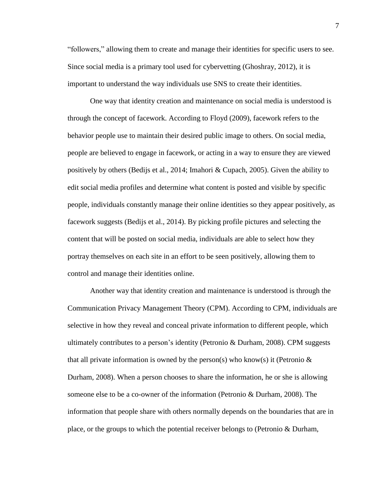"followers," allowing them to create and manage their identities for specific users to see. Since social media is a primary tool used for cybervetting (Ghoshray, 2012), it is important to understand the way individuals use SNS to create their identities.

One way that identity creation and maintenance on social media is understood is through the concept of facework. According to Floyd (2009), facework refers to the behavior people use to maintain their desired public image to others. On social media, people are believed to engage in facework, or acting in a way to ensure they are viewed positively by others (Bedijs et al., 2014; Imahori & Cupach, 2005). Given the ability to edit social media profiles and determine what content is posted and visible by specific people, individuals constantly manage their online identities so they appear positively, as facework suggests (Bedijs et al., 2014). By picking profile pictures and selecting the content that will be posted on social media, individuals are able to select how they portray themselves on each site in an effort to be seen positively, allowing them to control and manage their identities online.

Another way that identity creation and maintenance is understood is through the Communication Privacy Management Theory (CPM). According to CPM, individuals are selective in how they reveal and conceal private information to different people, which ultimately contributes to a person's identity (Petronio & Durham, 2008). CPM suggests that all private information is owned by the person(s) who know(s) it (Petronio  $\&$ Durham, 2008). When a person chooses to share the information, he or she is allowing someone else to be a co-owner of the information (Petronio & Durham, 2008). The information that people share with others normally depends on the boundaries that are in place, or the groups to which the potential receiver belongs to (Petronio & Durham,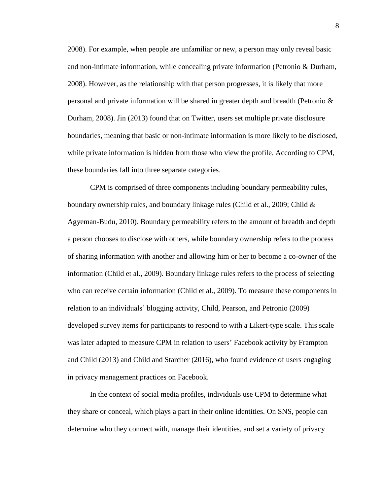2008). For example, when people are unfamiliar or new, a person may only reveal basic and non-intimate information, while concealing private information (Petronio & Durham, 2008). However, as the relationship with that person progresses, it is likely that more personal and private information will be shared in greater depth and breadth (Petronio & Durham, 2008). Jin (2013) found that on Twitter, users set multiple private disclosure boundaries, meaning that basic or non-intimate information is more likely to be disclosed, while private information is hidden from those who view the profile. According to CPM, these boundaries fall into three separate categories.

CPM is comprised of three components including boundary permeability rules, boundary ownership rules, and boundary linkage rules (Child et al., 2009; Child  $\&$ Agyeman-Budu, 2010). Boundary permeability refers to the amount of breadth and depth a person chooses to disclose with others, while boundary ownership refers to the process of sharing information with another and allowing him or her to become a co-owner of the information (Child et al., 2009). Boundary linkage rules refers to the process of selecting who can receive certain information (Child et al., 2009). To measure these components in relation to an individuals' blogging activity, Child, Pearson, and Petronio (2009) developed survey items for participants to respond to with a Likert-type scale. This scale was later adapted to measure CPM in relation to users' Facebook activity by Frampton and Child (2013) and Child and Starcher (2016), who found evidence of users engaging in privacy management practices on Facebook.

In the context of social media profiles, individuals use CPM to determine what they share or conceal, which plays a part in their online identities. On SNS, people can determine who they connect with, manage their identities, and set a variety of privacy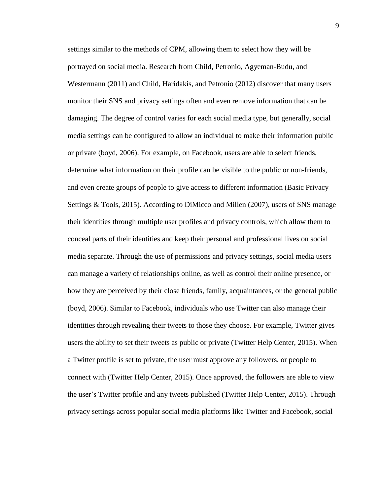settings similar to the methods of CPM, allowing them to select how they will be portrayed on social media. Research from Child, Petronio, Agyeman-Budu, and Westermann (2011) and Child, Haridakis, and Petronio (2012) discover that many users monitor their SNS and privacy settings often and even remove information that can be damaging. The degree of control varies for each social media type, but generally, social media settings can be configured to allow an individual to make their information public or private (boyd, 2006). For example, on Facebook, users are able to select friends, determine what information on their profile can be visible to the public or non-friends, and even create groups of people to give access to different information (Basic Privacy Settings & Tools, 2015). According to DiMicco and Millen (2007), users of SNS manage their identities through multiple user profiles and privacy controls, which allow them to conceal parts of their identities and keep their personal and professional lives on social media separate. Through the use of permissions and privacy settings, social media users can manage a variety of relationships online, as well as control their online presence, or how they are perceived by their close friends, family, acquaintances, or the general public (boyd, 2006). Similar to Facebook, individuals who use Twitter can also manage their identities through revealing their tweets to those they choose. For example, Twitter gives users the ability to set their tweets as public or private (Twitter Help Center, 2015). When a Twitter profile is set to private, the user must approve any followers, or people to connect with (Twitter Help Center, 2015). Once approved, the followers are able to view the user's Twitter profile and any tweets published (Twitter Help Center, 2015). Through privacy settings across popular social media platforms like Twitter and Facebook, social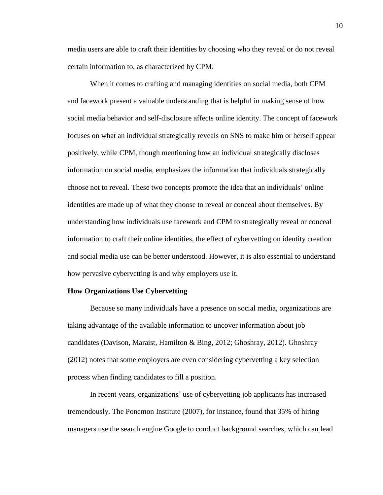media users are able to craft their identities by choosing who they reveal or do not reveal certain information to, as characterized by CPM.

When it comes to crafting and managing identities on social media, both CPM and facework present a valuable understanding that is helpful in making sense of how social media behavior and self-disclosure affects online identity. The concept of facework focuses on what an individual strategically reveals on SNS to make him or herself appear positively, while CPM, though mentioning how an individual strategically discloses information on social media, emphasizes the information that individuals strategically choose not to reveal. These two concepts promote the idea that an individuals' online identities are made up of what they choose to reveal or conceal about themselves. By understanding how individuals use facework and CPM to strategically reveal or conceal information to craft their online identities, the effect of cybervetting on identity creation and social media use can be better understood. However, it is also essential to understand how pervasive cybervetting is and why employers use it.

#### **How Organizations Use Cybervetting**

Because so many individuals have a presence on social media, organizations are taking advantage of the available information to uncover information about job candidates (Davison, Maraist, Hamilton & Bing, 2012; Ghoshray, 2012). Ghoshray (2012) notes that some employers are even considering cybervetting a key selection process when finding candidates to fill a position.

In recent years, organizations' use of cybervetting job applicants has increased tremendously. The Ponemon Institute (2007), for instance, found that 35% of hiring managers use the search engine Google to conduct background searches, which can lead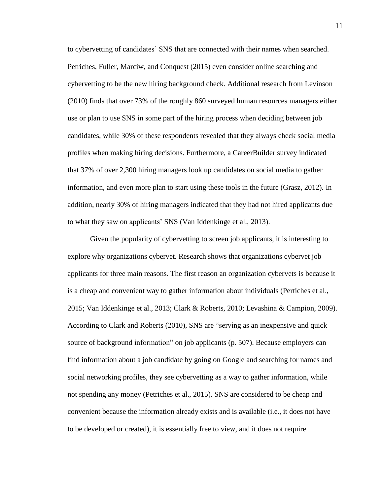to cybervetting of candidates' SNS that are connected with their names when searched. Petriches, Fuller, Marciw, and Conquest (2015) even consider online searching and cybervetting to be the new hiring background check. Additional research from Levinson (2010) finds that over 73% of the roughly 860 surveyed human resources managers either use or plan to use SNS in some part of the hiring process when deciding between job candidates, while 30% of these respondents revealed that they always check social media profiles when making hiring decisions. Furthermore, a CareerBuilder survey indicated that 37% of over 2,300 hiring managers look up candidates on social media to gather information, and even more plan to start using these tools in the future (Grasz, 2012). In addition, nearly 30% of hiring managers indicated that they had not hired applicants due to what they saw on applicants' SNS (Van Iddenkinge et al., 2013).

Given the popularity of cybervetting to screen job applicants, it is interesting to explore why organizations cybervet. Research shows that organizations cybervet job applicants for three main reasons. The first reason an organization cybervets is because it is a cheap and convenient way to gather information about individuals (Pertiches et al., 2015; Van Iddenkinge et al., 2013; Clark & Roberts, 2010; Levashina & Campion, 2009). According to Clark and Roberts (2010), SNS are "serving as an inexpensive and quick source of background information" on job applicants (p. 507). Because employers can find information about a job candidate by going on Google and searching for names and social networking profiles, they see cybervetting as a way to gather information, while not spending any money (Petriches et al., 2015). SNS are considered to be cheap and convenient because the information already exists and is available (i.e., it does not have to be developed or created), it is essentially free to view, and it does not require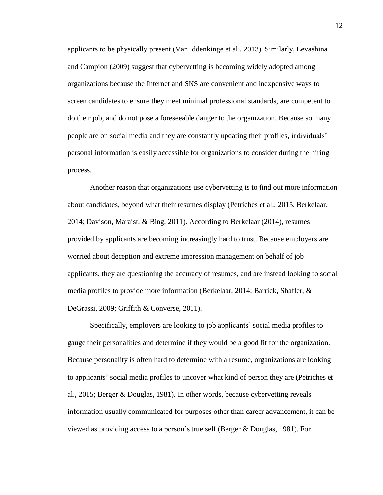applicants to be physically present (Van Iddenkinge et al., 2013). Similarly, Levashina and Campion (2009) suggest that cybervetting is becoming widely adopted among organizations because the Internet and SNS are convenient and inexpensive ways to screen candidates to ensure they meet minimal professional standards, are competent to do their job, and do not pose a foreseeable danger to the organization. Because so many people are on social media and they are constantly updating their profiles, individuals' personal information is easily accessible for organizations to consider during the hiring process.

Another reason that organizations use cybervetting is to find out more information about candidates, beyond what their resumes display (Petriches et al., 2015, Berkelaar, 2014; Davison, Maraist, & Bing, 2011). According to Berkelaar (2014), resumes provided by applicants are becoming increasingly hard to trust. Because employers are worried about deception and extreme impression management on behalf of job applicants, they are questioning the accuracy of resumes, and are instead looking to social media profiles to provide more information (Berkelaar, 2014; Barrick, Shaffer, & DeGrassi, 2009; Griffith & Converse, 2011).

Specifically, employers are looking to job applicants' social media profiles to gauge their personalities and determine if they would be a good fit for the organization. Because personality is often hard to determine with a resume, organizations are looking to applicants' social media profiles to uncover what kind of person they are (Petriches et al., 2015; Berger & Douglas, 1981). In other words, because cybervetting reveals information usually communicated for purposes other than career advancement, it can be viewed as providing access to a person's true self (Berger & Douglas, 1981). For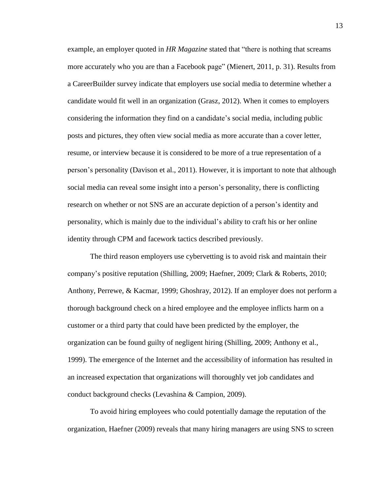example, an employer quoted in *HR Magazine* stated that "there is nothing that screams more accurately who you are than a Facebook page" (Mienert, 2011, p. 31). Results from a CareerBuilder survey indicate that employers use social media to determine whether a candidate would fit well in an organization (Grasz, 2012). When it comes to employers considering the information they find on a candidate's social media, including public posts and pictures, they often view social media as more accurate than a cover letter, resume, or interview because it is considered to be more of a true representation of a person's personality (Davison et al., 2011). However, it is important to note that although social media can reveal some insight into a person's personality, there is conflicting research on whether or not SNS are an accurate depiction of a person's identity and personality, which is mainly due to the individual's ability to craft his or her online identity through CPM and facework tactics described previously.

 The third reason employers use cybervetting is to avoid risk and maintain their company's positive reputation (Shilling, 2009; Haefner, 2009; Clark & Roberts, 2010; Anthony, Perrewe, & Kacmar, 1999; Ghoshray, 2012). If an employer does not perform a thorough background check on a hired employee and the employee inflicts harm on a customer or a third party that could have been predicted by the employer, the organization can be found guilty of negligent hiring (Shilling, 2009; Anthony et al., 1999). The emergence of the Internet and the accessibility of information has resulted in an increased expectation that organizations will thoroughly vet job candidates and conduct background checks (Levashina & Campion, 2009).

To avoid hiring employees who could potentially damage the reputation of the organization, Haefner (2009) reveals that many hiring managers are using SNS to screen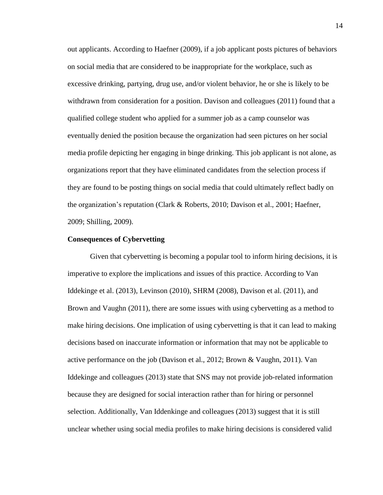out applicants. According to Haefner (2009), if a job applicant posts pictures of behaviors on social media that are considered to be inappropriate for the workplace, such as excessive drinking, partying, drug use, and/or violent behavior, he or she is likely to be withdrawn from consideration for a position. Davison and colleagues (2011) found that a qualified college student who applied for a summer job as a camp counselor was eventually denied the position because the organization had seen pictures on her social media profile depicting her engaging in binge drinking. This job applicant is not alone, as organizations report that they have eliminated candidates from the selection process if they are found to be posting things on social media that could ultimately reflect badly on the organization's reputation (Clark & Roberts, 2010; Davison et al., 2001; Haefner, 2009; Shilling, 2009).

#### **Consequences of Cybervetting**

Given that cybervetting is becoming a popular tool to inform hiring decisions, it is imperative to explore the implications and issues of this practice. According to Van Iddekinge et al. (2013), Levinson (2010), SHRM (2008), Davison et al. (2011), and Brown and Vaughn (2011), there are some issues with using cybervetting as a method to make hiring decisions. One implication of using cybervetting is that it can lead to making decisions based on inaccurate information or information that may not be applicable to active performance on the job (Davison et al., 2012; Brown & Vaughn, 2011). Van Iddekinge and colleagues (2013) state that SNS may not provide job-related information because they are designed for social interaction rather than for hiring or personnel selection. Additionally, Van Iddenkinge and colleagues (2013) suggest that it is still unclear whether using social media profiles to make hiring decisions is considered valid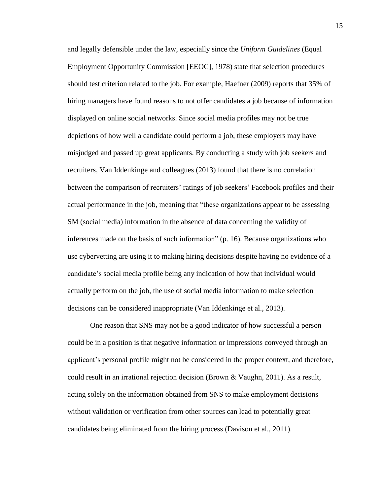and legally defensible under the law, especially since the *Uniform Guidelines* (Equal Employment Opportunity Commission [EEOC], 1978) state that selection procedures should test criterion related to the job. For example, Haefner (2009) reports that 35% of hiring managers have found reasons to not offer candidates a job because of information displayed on online social networks. Since social media profiles may not be true depictions of how well a candidate could perform a job, these employers may have misjudged and passed up great applicants. By conducting a study with job seekers and recruiters, Van Iddenkinge and colleagues (2013) found that there is no correlation between the comparison of recruiters' ratings of job seekers' Facebook profiles and their actual performance in the job, meaning that "these organizations appear to be assessing SM (social media) information in the absence of data concerning the validity of inferences made on the basis of such information" (p. 16). Because organizations who use cybervetting are using it to making hiring decisions despite having no evidence of a candidate's social media profile being any indication of how that individual would actually perform on the job, the use of social media information to make selection decisions can be considered inappropriate (Van Iddenkinge et al., 2013).

One reason that SNS may not be a good indicator of how successful a person could be in a position is that negative information or impressions conveyed through an applicant's personal profile might not be considered in the proper context, and therefore, could result in an irrational rejection decision (Brown & Vaughn, 2011). As a result, acting solely on the information obtained from SNS to make employment decisions without validation or verification from other sources can lead to potentially great candidates being eliminated from the hiring process (Davison et al., 2011).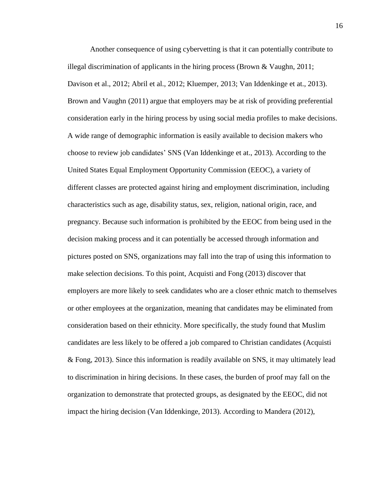Another consequence of using cybervetting is that it can potentially contribute to illegal discrimination of applicants in the hiring process (Brown & Vaughn, 2011; Davison et al., 2012; Abril et al., 2012; Kluemper, 2013; Van Iddenkinge et at., 2013). Brown and Vaughn (2011) argue that employers may be at risk of providing preferential consideration early in the hiring process by using social media profiles to make decisions. A wide range of demographic information is easily available to decision makers who choose to review job candidates' SNS (Van Iddenkinge et at., 2013). According to the United States Equal Employment Opportunity Commission (EEOC), a variety of different classes are protected against hiring and employment discrimination, including characteristics such as age, disability status, sex, religion, national origin, race, and pregnancy. Because such information is prohibited by the EEOC from being used in the decision making process and it can potentially be accessed through information and pictures posted on SNS, organizations may fall into the trap of using this information to make selection decisions. To this point, Acquisti and Fong (2013) discover that employers are more likely to seek candidates who are a closer ethnic match to themselves or other employees at the organization, meaning that candidates may be eliminated from consideration based on their ethnicity. More specifically, the study found that Muslim candidates are less likely to be offered a job compared to Christian candidates (Acquisti & Fong, 2013). Since this information is readily available on SNS, it may ultimately lead to discrimination in hiring decisions. In these cases, the burden of proof may fall on the organization to demonstrate that protected groups, as designated by the EEOC, did not impact the hiring decision (Van Iddenkinge, 2013). According to Mandera (2012),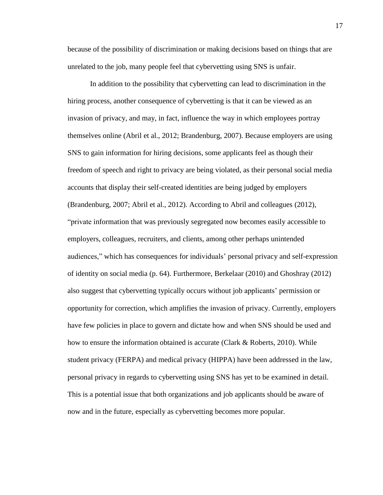because of the possibility of discrimination or making decisions based on things that are unrelated to the job, many people feel that cybervetting using SNS is unfair.

In addition to the possibility that cybervetting can lead to discrimination in the hiring process, another consequence of cybervetting is that it can be viewed as an invasion of privacy, and may, in fact, influence the way in which employees portray themselves online (Abril et al., 2012; Brandenburg, 2007). Because employers are using SNS to gain information for hiring decisions, some applicants feel as though their freedom of speech and right to privacy are being violated, as their personal social media accounts that display their self-created identities are being judged by employers (Brandenburg, 2007; Abril et al., 2012). According to Abril and colleagues (2012), "private information that was previously segregated now becomes easily accessible to employers, colleagues, recruiters, and clients, among other perhaps unintended audiences," which has consequences for individuals' personal privacy and self-expression of identity on social media (p. 64). Furthermore, Berkelaar (2010) and Ghoshray (2012) also suggest that cybervetting typically occurs without job applicants' permission or opportunity for correction, which amplifies the invasion of privacy. Currently, employers have few policies in place to govern and dictate how and when SNS should be used and how to ensure the information obtained is accurate (Clark & Roberts, 2010). While student privacy (FERPA) and medical privacy (HIPPA) have been addressed in the law, personal privacy in regards to cybervetting using SNS has yet to be examined in detail. This is a potential issue that both organizations and job applicants should be aware of now and in the future, especially as cybervetting becomes more popular.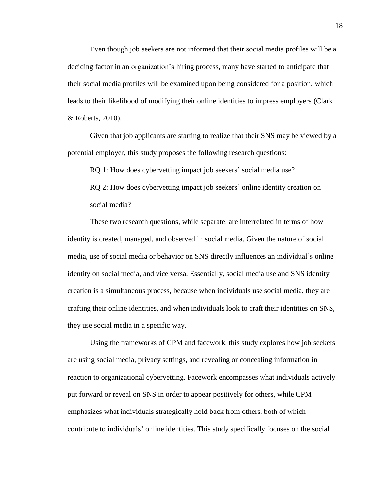Even though job seekers are not informed that their social media profiles will be a deciding factor in an organization's hiring process, many have started to anticipate that their social media profiles will be examined upon being considered for a position, which leads to their likelihood of modifying their online identities to impress employers (Clark & Roberts, 2010).

Given that job applicants are starting to realize that their SNS may be viewed by a potential employer, this study proposes the following research questions:

RQ 1: How does cybervetting impact job seekers' social media use?

RQ 2: How does cybervetting impact job seekers' online identity creation on social media?

These two research questions, while separate, are interrelated in terms of how identity is created, managed, and observed in social media. Given the nature of social media, use of social media or behavior on SNS directly influences an individual's online identity on social media, and vice versa. Essentially, social media use and SNS identity creation is a simultaneous process, because when individuals use social media, they are crafting their online identities, and when individuals look to craft their identities on SNS, they use social media in a specific way.

Using the frameworks of CPM and facework, this study explores how job seekers are using social media, privacy settings, and revealing or concealing information in reaction to organizational cybervetting. Facework encompasses what individuals actively put forward or reveal on SNS in order to appear positively for others, while CPM emphasizes what individuals strategically hold back from others, both of which contribute to individuals' online identities. This study specifically focuses on the social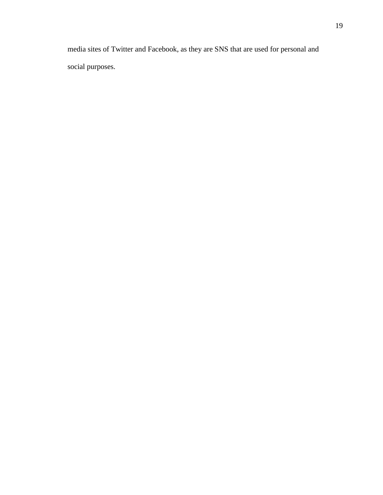media sites of Twitter and Facebook, as they are SNS that are used for personal and social purposes.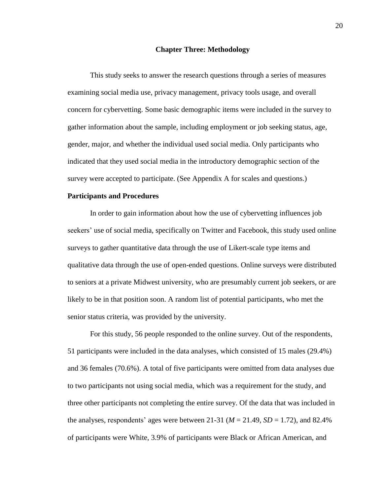#### **Chapter Three: Methodology**

This study seeks to answer the research questions through a series of measures examining social media use, privacy management, privacy tools usage, and overall concern for cybervetting. Some basic demographic items were included in the survey to gather information about the sample, including employment or job seeking status, age, gender, major, and whether the individual used social media. Only participants who indicated that they used social media in the introductory demographic section of the survey were accepted to participate. (See Appendix A for scales and questions.)

#### **Participants and Procedures**

In order to gain information about how the use of cybervetting influences job seekers' use of social media, specifically on Twitter and Facebook, this study used online surveys to gather quantitative data through the use of Likert-scale type items and qualitative data through the use of open-ended questions. Online surveys were distributed to seniors at a private Midwest university, who are presumably current job seekers, or are likely to be in that position soon. A random list of potential participants, who met the senior status criteria, was provided by the university.

For this study, 56 people responded to the online survey. Out of the respondents, 51 participants were included in the data analyses, which consisted of 15 males (29.4%) and 36 females (70.6%). A total of five participants were omitted from data analyses due to two participants not using social media, which was a requirement for the study, and three other participants not completing the entire survey. Of the data that was included in the analyses, respondents' ages were between 21-31 ( $M = 21.49$ ,  $SD = 1.72$ ), and 82.4% of participants were White, 3.9% of participants were Black or African American, and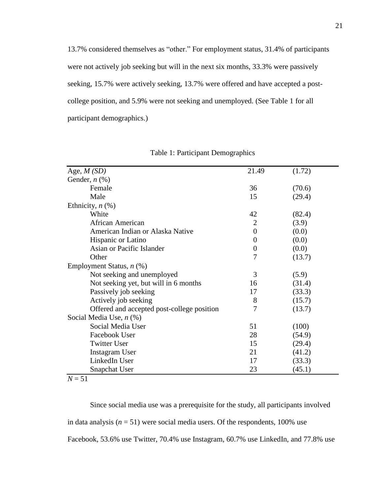13.7% considered themselves as "other." For employment status, 31.4% of participants were not actively job seeking but will in the next six months, 33.3% were passively seeking, 15.7% were actively seeking, 13.7% were offered and have accepted a postcollege position, and 5.9% were not seeking and unemployed. (See Table 1 for all participant demographics.)

| Age, $M(SD)$                               | 21.49          | (1.72) |
|--------------------------------------------|----------------|--------|
| Gender, $n$ $(\%)$                         |                |        |
| Female                                     | 36             | (70.6) |
| Male                                       | 15             | (29.4) |
| Ethnicity, $n$ $(\%)$                      |                |        |
| White                                      | 42             | (82.4) |
| African American                           | 2              | (3.9)  |
| American Indian or Alaska Native           | $\overline{0}$ | (0.0)  |
| Hispanic or Latino                         | $\overline{0}$ | (0.0)  |
| Asian or Pacific Islander                  | 0              | (0.0)  |
| Other                                      | 7              | (13.7) |
| Employment Status, $n$ (%)                 |                |        |
| Not seeking and unemployed                 | 3              | (5.9)  |
| Not seeking yet, but will in 6 months      | 16             | (31.4) |
| Passively job seeking                      | 17             | (33.3) |
| Actively job seeking                       | 8              | (15.7) |
| Offered and accepted post-college position | 7              | (13.7) |
| Social Media Use, $n$ (%)                  |                |        |
| Social Media User                          | 51             | (100)  |
| Facebook User                              | 28             | (54.9) |
| <b>Twitter User</b>                        | 15             | (29.4) |
| Instagram User                             | 21             | (41.2) |
| LinkedIn User                              | 17             | (33.3) |
| <b>Snapchat User</b>                       | 23             | (45.1) |

Table 1: Participant Demographics

 $N = 51$ 

Since social media use was a prerequisite for the study, all participants involved in data analysis  $(n = 51)$  were social media users. Of the respondents, 100% use Facebook, 53.6% use Twitter, 70.4% use Instagram, 60.7% use LinkedIn, and 77.8% use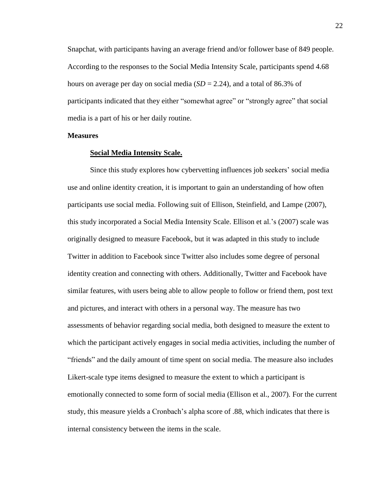Snapchat, with participants having an average friend and/or follower base of 849 people. According to the responses to the Social Media Intensity Scale, participants spend 4.68 hours on average per day on social media  $(SD = 2.24)$ , and a total of 86.3% of participants indicated that they either "somewhat agree" or "strongly agree" that social media is a part of his or her daily routine.

#### **Measures**

#### **Social Media Intensity Scale.**

Since this study explores how cybervetting influences job seekers' social media use and online identity creation, it is important to gain an understanding of how often participants use social media. Following suit of Ellison, Steinfield, and Lampe (2007), this study incorporated a Social Media Intensity Scale. Ellison et al.'s (2007) scale was originally designed to measure Facebook, but it was adapted in this study to include Twitter in addition to Facebook since Twitter also includes some degree of personal identity creation and connecting with others. Additionally, Twitter and Facebook have similar features, with users being able to allow people to follow or friend them, post text and pictures, and interact with others in a personal way. The measure has two assessments of behavior regarding social media, both designed to measure the extent to which the participant actively engages in social media activities, including the number of "friends" and the daily amount of time spent on social media. The measure also includes Likert-scale type items designed to measure the extent to which a participant is emotionally connected to some form of social media (Ellison et al., 2007). For the current study, this measure yields a Cronbach's alpha score of .88, which indicates that there is internal consistency between the items in the scale.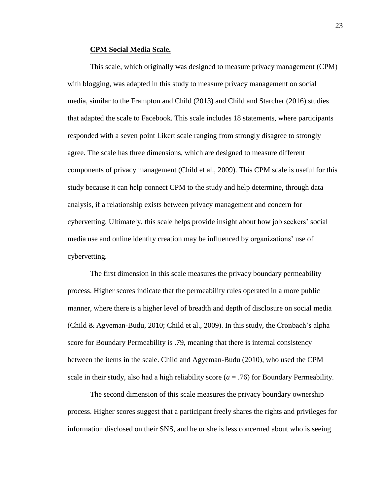#### **CPM Social Media Scale.**

This scale, which originally was designed to measure privacy management (CPM) with blogging, was adapted in this study to measure privacy management on social media, similar to the Frampton and Child (2013) and Child and Starcher (2016) studies that adapted the scale to Facebook. This scale includes 18 statements, where participants responded with a seven point Likert scale ranging from strongly disagree to strongly agree. The scale has three dimensions, which are designed to measure different components of privacy management (Child et al., 2009). This CPM scale is useful for this study because it can help connect CPM to the study and help determine, through data analysis, if a relationship exists between privacy management and concern for cybervetting. Ultimately, this scale helps provide insight about how job seekers' social media use and online identity creation may be influenced by organizations' use of cybervetting.

The first dimension in this scale measures the privacy boundary permeability process. Higher scores indicate that the permeability rules operated in a more public manner, where there is a higher level of breadth and depth of disclosure on social media (Child & Agyeman-Budu, 2010; Child et al., 2009). In this study, the Cronbach's alpha score for Boundary Permeability is .79, meaning that there is internal consistency between the items in the scale. Child and Agyeman-Budu (2010), who used the CPM scale in their study, also had a high reliability score  $(a = .76)$  for Boundary Permeability.

The second dimension of this scale measures the privacy boundary ownership process. Higher scores suggest that a participant freely shares the rights and privileges for information disclosed on their SNS, and he or she is less concerned about who is seeing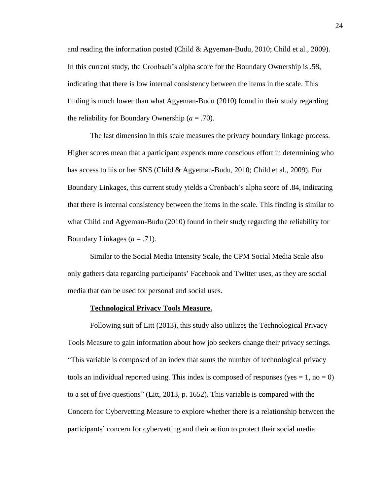and reading the information posted (Child & Agyeman-Budu, 2010; Child et al., 2009). In this current study, the Cronbach's alpha score for the Boundary Ownership is .58, indicating that there is low internal consistency between the items in the scale. This finding is much lower than what Agyeman-Budu (2010) found in their study regarding the reliability for Boundary Ownership  $(a = .70)$ .

The last dimension in this scale measures the privacy boundary linkage process. Higher scores mean that a participant expends more conscious effort in determining who has access to his or her SNS (Child & Agyeman-Budu, 2010; Child et al., 2009). For Boundary Linkages, this current study yields a Cronbach's alpha score of .84, indicating that there is internal consistency between the items in the scale. This finding is similar to what Child and Agyeman-Budu (2010) found in their study regarding the reliability for Boundary Linkages  $(a = .71)$ .

Similar to the Social Media Intensity Scale, the CPM Social Media Scale also only gathers data regarding participants' Facebook and Twitter uses, as they are social media that can be used for personal and social uses.

#### **Technological Privacy Tools Measure.**

Following suit of Litt (2013), this study also utilizes the Technological Privacy Tools Measure to gain information about how job seekers change their privacy settings. "This variable is composed of an index that sums the number of technological privacy tools an individual reported using. This index is composed of responses (yes  $= 1$ , no  $= 0$ ) to a set of five questions" (Litt, 2013, p. 1652). This variable is compared with the Concern for Cybervetting Measure to explore whether there is a relationship between the participants' concern for cybervetting and their action to protect their social media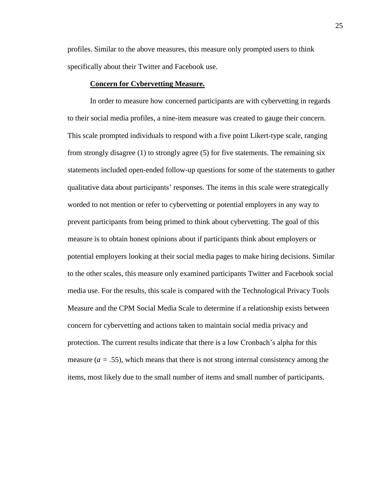profiles. Similar to the above measures, this measure only prompted users to think specifically about their Twitter and Facebook use.

#### **Concern for Cybervetting Measure.**

In order to measure how concerned participants are with cybervetting in regards to their social media profiles, a nine-item measure was created to gauge their concern. This scale prompted individuals to respond with a five point Likert-type scale, ranging from strongly disagree (1) to strongly agree (5) for five statements. The remaining six statements included open-ended follow-up questions for some of the statements to gather qualitative data about participants' responses. The items in this scale were strategically worded to not mention or refer to cybervetting or potential employers in any way to prevent participants from being primed to think about cybervetting. The goal of this measure is to obtain honest opinions about if participants think about employers or potential employers looking at their social media pages to make hiring decisions. Similar to the other scales, this measure only examined participants Twitter and Facebook social media use. For the results, this scale is compared with the Technological Privacy Tools Measure and the CPM Social Media Scale to determine if a relationship exists between concern for cybervetting and actions taken to maintain social media privacy and protection. The current results indicate that there is a low Cronbach's alpha for this measure  $(a = .55)$ , which means that there is not strong internal consistency among the items, most likely due to the small number of items and small number of participants.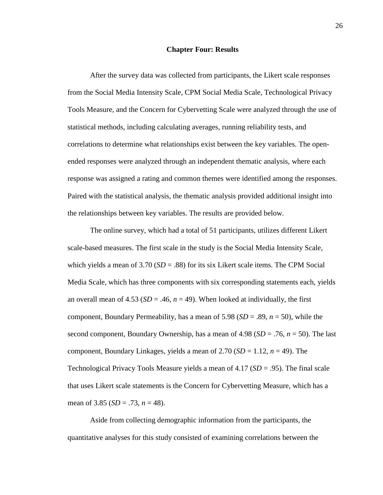#### **Chapter Four: Results**

After the survey data was collected from participants, the Likert scale responses from the Social Media Intensity Scale, CPM Social Media Scale, Technological Privacy Tools Measure, and the Concern for Cybervetting Scale were analyzed through the use of statistical methods, including calculating averages, running reliability tests, and correlations to determine what relationships exist between the key variables. The openended responses were analyzed through an independent thematic analysis, where each response was assigned a rating and common themes were identified among the responses. Paired with the statistical analysis, the thematic analysis provided additional insight into the relationships between key variables. The results are provided below.

The online survey, which had a total of 51 participants, utilizes different Likert scale-based measures. The first scale in the study is the Social Media Intensity Scale, which yields a mean of 3.70 (*SD* = .88) for its six Likert scale items. The CPM Social Media Scale, which has three components with six corresponding statements each, yields an overall mean of 4.53 ( $SD = .46$ ,  $n = 49$ ). When looked at individually, the first component, Boundary Permeability, has a mean of 5.98 (*SD* = .89, *n* = 50), while the second component, Boundary Ownership, has a mean of  $4.98$  (*SD* = .76, *n* = 50). The last component, Boundary Linkages, yields a mean of  $2.70$  (*SD* = 1.12, *n* = 49). The Technological Privacy Tools Measure yields a mean of 4.17 (*SD* = .95). The final scale that uses Likert scale statements is the Concern for Cybervetting Measure, which has a mean of 3.85 (*SD* = .73, *n* = 48).

Aside from collecting demographic information from the participants, the quantitative analyses for this study consisted of examining correlations between the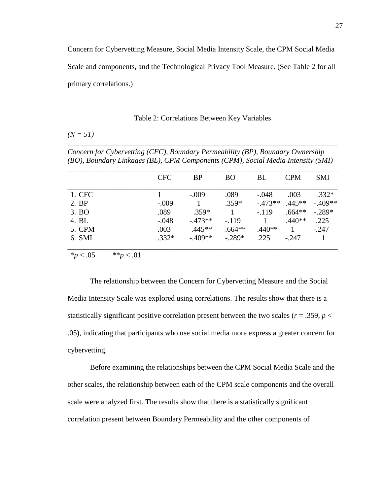Concern for Cybervetting Measure, Social Media Intensity Scale, the CPM Social Media Scale and components, and the Technological Privacy Tool Measure. (See Table 2 for all primary correlations.)

#### Table 2: Correlations Between Key Variables

\_\_\_\_\_\_\_\_\_\_\_\_\_\_\_\_\_\_\_\_\_\_\_\_\_\_\_\_\_\_\_\_\_\_\_\_\_\_\_\_\_\_\_\_\_\_\_\_\_\_\_\_\_\_\_\_\_\_\_\_\_\_\_\_\_\_\_\_\_\_\_\_

 $(N = 51)$ 

*Concern for Cybervetting (CFC), Boundary Permeability (BP), Boundary Ownership (BO), Boundary Linkages (BL), CPM Components (CPM), Social Media Intensity (SMI)*

|        | <b>CFC</b> | <b>BP</b> | <b>BO</b> | <b>BL</b> | <b>CPM</b> | <b>SMI</b> |
|--------|------------|-----------|-----------|-----------|------------|------------|
| 1. CFC |            | $-.009$   | .089      | $-.048$   | .003       | $.332*$    |
| 2. BP  | $-.009$    |           | $.359*$   | $-473**$  | $.445**$   | $-.409**$  |
| 3. BO  | .089       | $.359*$   |           | $-.119$   | $.664**$   | $-.289*$   |
| 4. BL  | $-.048$    | $-473**$  | $-119$    |           | $.440**$   | .225       |
| 5. CPM | .003       | $.445**$  | $.664**$  | $.440**$  |            | $-.247$    |
| 6. SMI | $.332*$    | $-.409**$ | $-.289*$  | .225      | $-247$     |            |
|        |            |           |           |           |            |            |

 $*_{p}$  < .05  $*_{p}$  < .01

The relationship between the Concern for Cybervetting Measure and the Social Media Intensity Scale was explored using correlations. The results show that there is a statistically significant positive correlation present between the two scales ( $r = .359$ ,  $p <$ .05), indicating that participants who use social media more express a greater concern for cybervetting.

Before examining the relationships between the CPM Social Media Scale and the other scales, the relationship between each of the CPM scale components and the overall scale were analyzed first. The results show that there is a statistically significant correlation present between Boundary Permeability and the other components of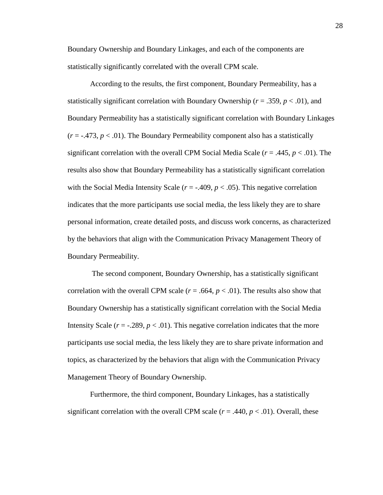Boundary Ownership and Boundary Linkages, and each of the components are statistically significantly correlated with the overall CPM scale.

According to the results, the first component, Boundary Permeability, has a statistically significant correlation with Boundary Ownership ( $r = .359$ ,  $p < .01$ ), and Boundary Permeability has a statistically significant correlation with Boundary Linkages  $(r = -0.473, p < 0.01)$ . The Boundary Permeability component also has a statistically significant correlation with the overall CPM Social Media Scale  $(r = .445, p < .01)$ . The results also show that Boundary Permeability has a statistically significant correlation with the Social Media Intensity Scale  $(r = -.409, p < .05)$ . This negative correlation indicates that the more participants use social media, the less likely they are to share personal information, create detailed posts, and discuss work concerns, as characterized by the behaviors that align with the Communication Privacy Management Theory of Boundary Permeability.

The second component, Boundary Ownership, has a statistically significant correlation with the overall CPM scale  $(r = .664, p < .01)$ . The results also show that Boundary Ownership has a statistically significant correlation with the Social Media Intensity Scale  $(r = -0.289, p < 0.01)$ . This negative correlation indicates that the more participants use social media, the less likely they are to share private information and topics, as characterized by the behaviors that align with the Communication Privacy Management Theory of Boundary Ownership.

Furthermore, the third component, Boundary Linkages, has a statistically significant correlation with the overall CPM scale  $(r = .440, p < .01)$ . Overall, these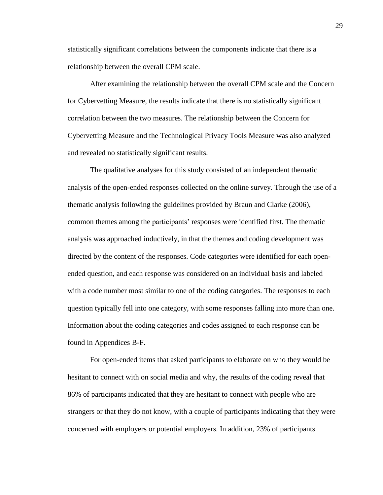statistically significant correlations between the components indicate that there is a relationship between the overall CPM scale.

After examining the relationship between the overall CPM scale and the Concern for Cybervetting Measure, the results indicate that there is no statistically significant correlation between the two measures. The relationship between the Concern for Cybervetting Measure and the Technological Privacy Tools Measure was also analyzed and revealed no statistically significant results.

The qualitative analyses for this study consisted of an independent thematic analysis of the open-ended responses collected on the online survey. Through the use of a thematic analysis following the guidelines provided by Braun and Clarke (2006), common themes among the participants' responses were identified first. The thematic analysis was approached inductively, in that the themes and coding development was directed by the content of the responses. Code categories were identified for each openended question, and each response was considered on an individual basis and labeled with a code number most similar to one of the coding categories. The responses to each question typically fell into one category, with some responses falling into more than one. Information about the coding categories and codes assigned to each response can be found in Appendices B-F.

For open-ended items that asked participants to elaborate on who they would be hesitant to connect with on social media and why, the results of the coding reveal that 86% of participants indicated that they are hesitant to connect with people who are strangers or that they do not know, with a couple of participants indicating that they were concerned with employers or potential employers. In addition, 23% of participants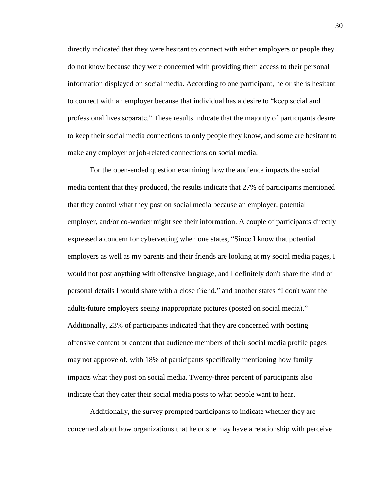directly indicated that they were hesitant to connect with either employers or people they do not know because they were concerned with providing them access to their personal information displayed on social media. According to one participant, he or she is hesitant to connect with an employer because that individual has a desire to "keep social and professional lives separate." These results indicate that the majority of participants desire to keep their social media connections to only people they know, and some are hesitant to make any employer or job-related connections on social media.

For the open-ended question examining how the audience impacts the social media content that they produced, the results indicate that 27% of participants mentioned that they control what they post on social media because an employer, potential employer, and/or co-worker might see their information. A couple of participants directly expressed a concern for cybervetting when one states, "Since I know that potential employers as well as my parents and their friends are looking at my social media pages, I would not post anything with offensive language, and I definitely don't share the kind of personal details I would share with a close friend," and another states "I don't want the adults/future employers seeing inappropriate pictures (posted on social media)." Additionally, 23% of participants indicated that they are concerned with posting offensive content or content that audience members of their social media profile pages may not approve of, with 18% of participants specifically mentioning how family impacts what they post on social media. Twenty-three percent of participants also indicate that they cater their social media posts to what people want to hear.

Additionally, the survey prompted participants to indicate whether they are concerned about how organizations that he or she may have a relationship with perceive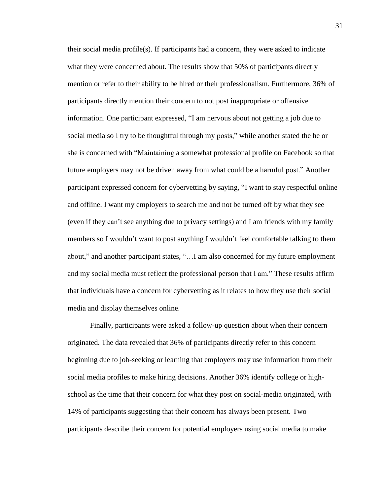their social media profile(s). If participants had a concern, they were asked to indicate what they were concerned about. The results show that 50% of participants directly mention or refer to their ability to be hired or their professionalism. Furthermore, 36% of participants directly mention their concern to not post inappropriate or offensive information. One participant expressed, "I am nervous about not getting a job due to social media so I try to be thoughtful through my posts," while another stated the he or she is concerned with "Maintaining a somewhat professional profile on Facebook so that future employers may not be driven away from what could be a harmful post." Another participant expressed concern for cybervetting by saying, "I want to stay respectful online and offline. I want my employers to search me and not be turned off by what they see (even if they can't see anything due to privacy settings) and I am friends with my family members so I wouldn't want to post anything I wouldn't feel comfortable talking to them about," and another participant states, "…I am also concerned for my future employment and my social media must reflect the professional person that I am." These results affirm that individuals have a concern for cybervetting as it relates to how they use their social media and display themselves online.

Finally, participants were asked a follow-up question about when their concern originated. The data revealed that 36% of participants directly refer to this concern beginning due to job-seeking or learning that employers may use information from their social media profiles to make hiring decisions. Another 36% identify college or highschool as the time that their concern for what they post on social-media originated, with 14% of participants suggesting that their concern has always been present. Two participants describe their concern for potential employers using social media to make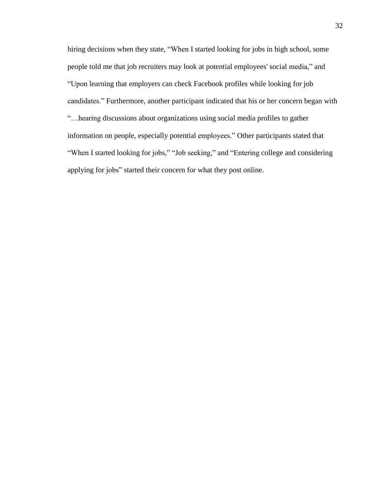hiring decisions when they state, "When I started looking for jobs in high school, some people told me that job recruiters may look at potential employees' social media," and "Upon learning that employers can check Facebook profiles while looking for job candidates." Furthermore, another participant indicated that his or her concern began with "…hearing discussions about organizations using social media profiles to gather information on people, especially potential employees." Other participants stated that "When I started looking for jobs," "Job seeking," and "Entering college and considering applying for jobs" started their concern for what they post online.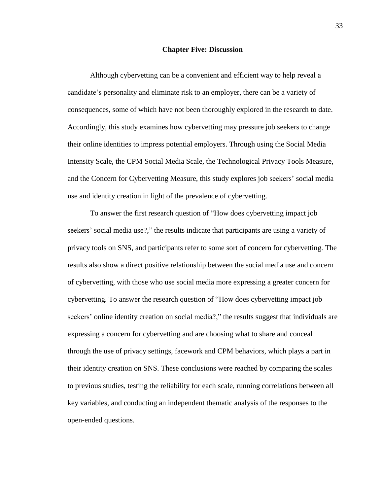#### **Chapter Five: Discussion**

Although cybervetting can be a convenient and efficient way to help reveal a candidate's personality and eliminate risk to an employer, there can be a variety of consequences, some of which have not been thoroughly explored in the research to date. Accordingly, this study examines how cybervetting may pressure job seekers to change their online identities to impress potential employers. Through using the Social Media Intensity Scale, the CPM Social Media Scale, the Technological Privacy Tools Measure, and the Concern for Cybervetting Measure, this study explores job seekers' social media use and identity creation in light of the prevalence of cybervetting.

To answer the first research question of "How does cybervetting impact job seekers' social media use?," the results indicate that participants are using a variety of privacy tools on SNS, and participants refer to some sort of concern for cybervetting. The results also show a direct positive relationship between the social media use and concern of cybervetting, with those who use social media more expressing a greater concern for cybervetting. To answer the research question of "How does cybervetting impact job seekers' online identity creation on social media?," the results suggest that individuals are expressing a concern for cybervetting and are choosing what to share and conceal through the use of privacy settings, facework and CPM behaviors, which plays a part in their identity creation on SNS. These conclusions were reached by comparing the scales to previous studies, testing the reliability for each scale, running correlations between all key variables, and conducting an independent thematic analysis of the responses to the open-ended questions.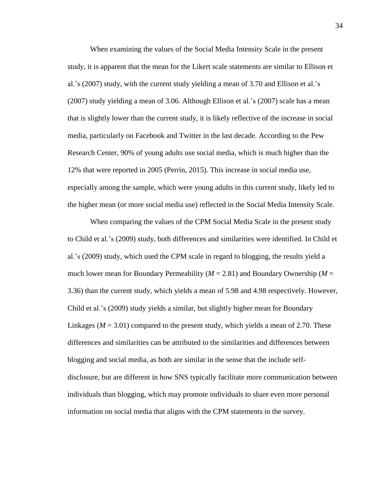When examining the values of the Social Media Intensity Scale in the present study, it is apparent that the mean for the Likert scale statements are similar to Ellison et al.'s (2007) study, with the current study yielding a mean of 3.70 and Ellison et al.'s (2007) study yielding a mean of 3.06. Although Ellison et al.'s (2007) scale has a mean that is slightly lower than the current study, it is likely reflective of the increase in social media, particularly on Facebook and Twitter in the last decade. According to the Pew Research Center, 90% of young adults use social media, which is much higher than the 12% that were reported in 2005 (Perrin, 2015). This increase in social media use, especially among the sample, which were young adults in this current study, likely led to the higher mean (or more social media use) reflected in the Social Media Intensity Scale.

When comparing the values of the CPM Social Media Scale in the present study to Child et al.'s (2009) study, both differences and similarities were identified. In Child et al.'s (2009) study, which used the CPM scale in regard to blogging, the results yield a much lower mean for Boundary Permeability ( $M = 2.81$ ) and Boundary Ownership ( $M =$ 3.36) than the current study, which yields a mean of 5.98 and 4.98 respectively. However, Child et al.'s (2009) study yields a similar, but slightly higher mean for Boundary Linkages ( $M = 3.01$ ) compared to the present study, which yields a mean of 2.70. These differences and similarities can be attributed to the similarities and differences between blogging and social media, as both are similar in the sense that the include selfdisclosure, but are different in how SNS typically facilitate more communication between individuals than blogging, which may promote individuals to share even more personal information on social media that aligns with the CPM statements in the survey.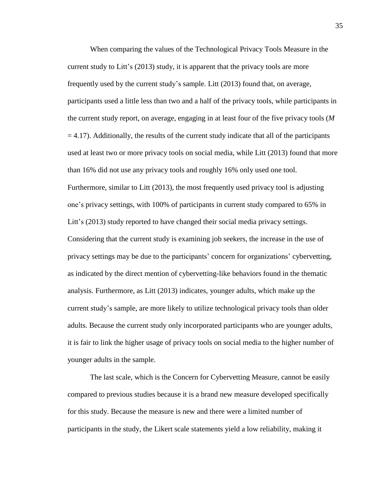When comparing the values of the Technological Privacy Tools Measure in the current study to Litt's (2013) study, it is apparent that the privacy tools are more frequently used by the current study's sample. Litt (2013) found that, on average, participants used a little less than two and a half of the privacy tools, while participants in the current study report, on average, engaging in at least four of the five privacy tools (*M*  $= 4.17$ ). Additionally, the results of the current study indicate that all of the participants used at least two or more privacy tools on social media, while Litt (2013) found that more than 16% did not use any privacy tools and roughly 16% only used one tool. Furthermore, similar to Litt (2013), the most frequently used privacy tool is adjusting one's privacy settings, with 100% of participants in current study compared to 65% in Litt's (2013) study reported to have changed their social media privacy settings. Considering that the current study is examining job seekers, the increase in the use of privacy settings may be due to the participants' concern for organizations' cybervetting, as indicated by the direct mention of cybervetting-like behaviors found in the thematic analysis. Furthermore, as Litt (2013) indicates, younger adults, which make up the current study's sample, are more likely to utilize technological privacy tools than older adults. Because the current study only incorporated participants who are younger adults, it is fair to link the higher usage of privacy tools on social media to the higher number of younger adults in the sample.

The last scale, which is the Concern for Cybervetting Measure, cannot be easily compared to previous studies because it is a brand new measure developed specifically for this study. Because the measure is new and there were a limited number of participants in the study, the Likert scale statements yield a low reliability, making it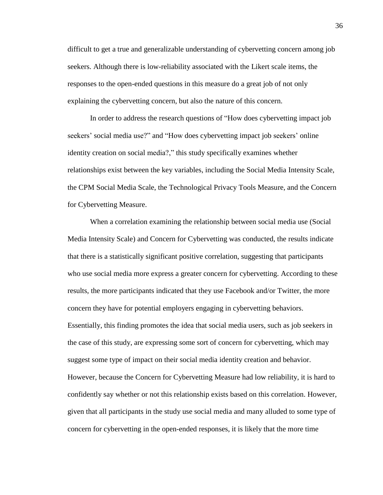difficult to get a true and generalizable understanding of cybervetting concern among job seekers. Although there is low-reliability associated with the Likert scale items, the responses to the open-ended questions in this measure do a great job of not only explaining the cybervetting concern, but also the nature of this concern.

In order to address the research questions of "How does cybervetting impact job seekers' social media use?" and "How does cybervetting impact job seekers' online identity creation on social media?," this study specifically examines whether relationships exist between the key variables, including the Social Media Intensity Scale, the CPM Social Media Scale, the Technological Privacy Tools Measure, and the Concern for Cybervetting Measure.

When a correlation examining the relationship between social media use (Social Media Intensity Scale) and Concern for Cybervetting was conducted, the results indicate that there is a statistically significant positive correlation, suggesting that participants who use social media more express a greater concern for cybervetting. According to these results, the more participants indicated that they use Facebook and/or Twitter, the more concern they have for potential employers engaging in cybervetting behaviors. Essentially, this finding promotes the idea that social media users, such as job seekers in the case of this study, are expressing some sort of concern for cybervetting, which may suggest some type of impact on their social media identity creation and behavior. However, because the Concern for Cybervetting Measure had low reliability, it is hard to confidently say whether or not this relationship exists based on this correlation. However, given that all participants in the study use social media and many alluded to some type of concern for cybervetting in the open-ended responses, it is likely that the more time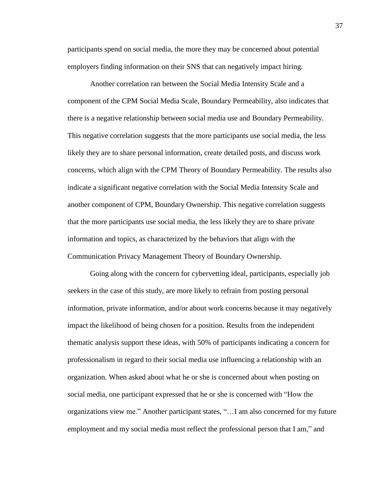participants spend on social media, the more they may be concerned about potential employers finding information on their SNS that can negatively impact hiring.

Another correlation ran between the Social Media Intensity Scale and a component of the CPM Social Media Scale, Boundary Permeability, also indicates that there is a negative relationship between social media use and Boundary Permeability. This negative correlation suggests that the more participants use social media, the less likely they are to share personal information, create detailed posts, and discuss work concerns, which align with the CPM Theory of Boundary Permeability. The results also indicate a significant negative correlation with the Social Media Intensity Scale and another component of CPM, Boundary Ownership. This negative correlation suggests that the more participants use social media, the less likely they are to share private information and topics, as characterized by the behaviors that align with the Communication Privacy Management Theory of Boundary Ownership.

Going along with the concern for cybervetting ideal, participants, especially job seekers in the case of this study, are more likely to refrain from posting personal information, private information, and/or about work concerns because it may negatively impact the likelihood of being chosen for a position. Results from the independent thematic analysis support these ideas, with 50% of participants indicating a concern for professionalism in regard to their social media use influencing a relationship with an organization. When asked about what he or she is concerned about when posting on social media, one participant expressed that he or she is concerned with "How the organizations view me." Another participant states, "…I am also concerned for my future employment and my social media must reflect the professional person that I am," and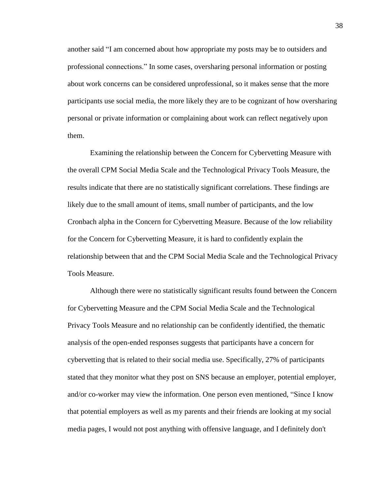another said "I am concerned about how appropriate my posts may be to outsiders and professional connections." In some cases, oversharing personal information or posting about work concerns can be considered unprofessional, so it makes sense that the more participants use social media, the more likely they are to be cognizant of how oversharing personal or private information or complaining about work can reflect negatively upon them.

Examining the relationship between the Concern for Cybervetting Measure with the overall CPM Social Media Scale and the Technological Privacy Tools Measure, the results indicate that there are no statistically significant correlations. These findings are likely due to the small amount of items, small number of participants, and the low Cronbach alpha in the Concern for Cybervetting Measure. Because of the low reliability for the Concern for Cybervetting Measure, it is hard to confidently explain the relationship between that and the CPM Social Media Scale and the Technological Privacy Tools Measure.

Although there were no statistically significant results found between the Concern for Cybervetting Measure and the CPM Social Media Scale and the Technological Privacy Tools Measure and no relationship can be confidently identified, the thematic analysis of the open-ended responses suggests that participants have a concern for cybervetting that is related to their social media use. Specifically, 27% of participants stated that they monitor what they post on SNS because an employer, potential employer, and/or co-worker may view the information. One person even mentioned, "Since I know that potential employers as well as my parents and their friends are looking at my social media pages, I would not post anything with offensive language, and I definitely don't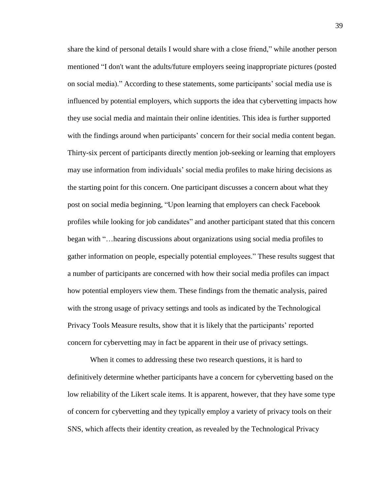share the kind of personal details I would share with a close friend," while another person mentioned "I don't want the adults/future employers seeing inappropriate pictures (posted on social media)." According to these statements, some participants' social media use is influenced by potential employers, which supports the idea that cybervetting impacts how they use social media and maintain their online identities. This idea is further supported with the findings around when participants' concern for their social media content began. Thirty-six percent of participants directly mention job-seeking or learning that employers may use information from individuals' social media profiles to make hiring decisions as the starting point for this concern. One participant discusses a concern about what they post on social media beginning, "Upon learning that employers can check Facebook profiles while looking for job candidates" and another participant stated that this concern began with "…hearing discussions about organizations using social media profiles to gather information on people, especially potential employees." These results suggest that a number of participants are concerned with how their social media profiles can impact how potential employers view them. These findings from the thematic analysis, paired with the strong usage of privacy settings and tools as indicated by the Technological Privacy Tools Measure results, show that it is likely that the participants' reported concern for cybervetting may in fact be apparent in their use of privacy settings.

When it comes to addressing these two research questions, it is hard to definitively determine whether participants have a concern for cybervetting based on the low reliability of the Likert scale items. It is apparent, however, that they have some type of concern for cybervetting and they typically employ a variety of privacy tools on their SNS, which affects their identity creation, as revealed by the Technological Privacy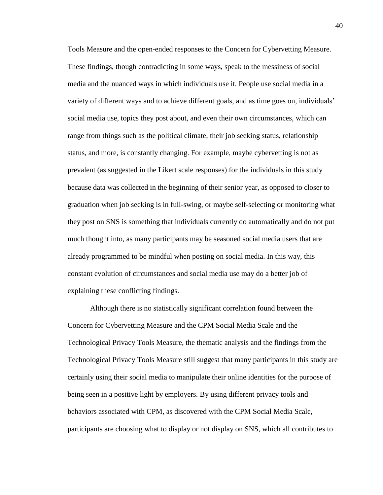Tools Measure and the open-ended responses to the Concern for Cybervetting Measure. These findings, though contradicting in some ways, speak to the messiness of social media and the nuanced ways in which individuals use it. People use social media in a variety of different ways and to achieve different goals, and as time goes on, individuals' social media use, topics they post about, and even their own circumstances, which can range from things such as the political climate, their job seeking status, relationship status, and more, is constantly changing. For example, maybe cybervetting is not as prevalent (as suggested in the Likert scale responses) for the individuals in this study because data was collected in the beginning of their senior year, as opposed to closer to graduation when job seeking is in full-swing, or maybe self-selecting or monitoring what they post on SNS is something that individuals currently do automatically and do not put much thought into, as many participants may be seasoned social media users that are already programmed to be mindful when posting on social media. In this way, this constant evolution of circumstances and social media use may do a better job of explaining these conflicting findings.

Although there is no statistically significant correlation found between the Concern for Cybervetting Measure and the CPM Social Media Scale and the Technological Privacy Tools Measure, the thematic analysis and the findings from the Technological Privacy Tools Measure still suggest that many participants in this study are certainly using their social media to manipulate their online identities for the purpose of being seen in a positive light by employers. By using different privacy tools and behaviors associated with CPM, as discovered with the CPM Social Media Scale, participants are choosing what to display or not display on SNS, which all contributes to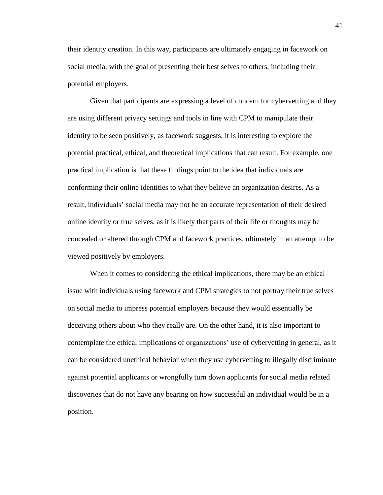their identity creation. In this way, participants are ultimately engaging in facework on social media, with the goal of presenting their best selves to others, including their potential employers.

Given that participants are expressing a level of concern for cybervetting and they are using different privacy settings and tools in line with CPM to manipulate their identity to be seen positively, as facework suggests, it is interesting to explore the potential practical, ethical, and theoretical implications that can result. For example, one practical implication is that these findings point to the idea that individuals are conforming their online identities to what they believe an organization desires. As a result, individuals' social media may not be an accurate representation of their desired online identity or true selves, as it is likely that parts of their life or thoughts may be concealed or altered through CPM and facework practices, ultimately in an attempt to be viewed positively by employers.

When it comes to considering the ethical implications, there may be an ethical issue with individuals using facework and CPM strategies to not portray their true selves on social media to impress potential employers because they would essentially be deceiving others about who they really are. On the other hand, it is also important to contemplate the ethical implications of organizations' use of cybervetting in general, as it can be considered unethical behavior when they use cybervetting to illegally discriminate against potential applicants or wrongfully turn down applicants for social media related discoveries that do not have any bearing on how successful an individual would be in a position.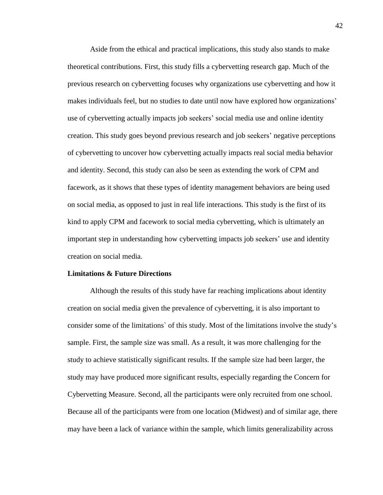Aside from the ethical and practical implications, this study also stands to make theoretical contributions. First, this study fills a cybervetting research gap. Much of the previous research on cybervetting focuses why organizations use cybervetting and how it makes individuals feel, but no studies to date until now have explored how organizations' use of cybervetting actually impacts job seekers' social media use and online identity creation. This study goes beyond previous research and job seekers' negative perceptions of cybervetting to uncover how cybervetting actually impacts real social media behavior and identity. Second, this study can also be seen as extending the work of CPM and facework, as it shows that these types of identity management behaviors are being used on social media, as opposed to just in real life interactions. This study is the first of its kind to apply CPM and facework to social media cybervetting, which is ultimately an important step in understanding how cybervetting impacts job seekers' use and identity creation on social media.

#### **Limitations & Future Directions**

Although the results of this study have far reaching implications about identity creation on social media given the prevalence of cybervetting, it is also important to consider some of the limitations` of this study. Most of the limitations involve the study's sample. First, the sample size was small. As a result, it was more challenging for the study to achieve statistically significant results. If the sample size had been larger, the study may have produced more significant results, especially regarding the Concern for Cybervetting Measure. Second, all the participants were only recruited from one school. Because all of the participants were from one location (Midwest) and of similar age, there may have been a lack of variance within the sample, which limits generalizability across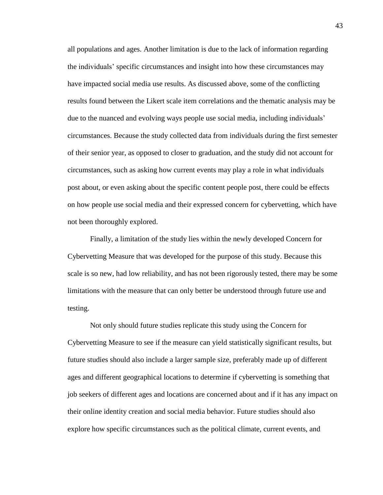all populations and ages. Another limitation is due to the lack of information regarding the individuals' specific circumstances and insight into how these circumstances may have impacted social media use results. As discussed above, some of the conflicting results found between the Likert scale item correlations and the thematic analysis may be due to the nuanced and evolving ways people use social media, including individuals' circumstances. Because the study collected data from individuals during the first semester of their senior year, as opposed to closer to graduation, and the study did not account for circumstances, such as asking how current events may play a role in what individuals post about, or even asking about the specific content people post, there could be effects on how people use social media and their expressed concern for cybervetting, which have not been thoroughly explored.

Finally, a limitation of the study lies within the newly developed Concern for Cybervetting Measure that was developed for the purpose of this study. Because this scale is so new, had low reliability, and has not been rigorously tested, there may be some limitations with the measure that can only better be understood through future use and testing.

Not only should future studies replicate this study using the Concern for Cybervetting Measure to see if the measure can yield statistically significant results, but future studies should also include a larger sample size, preferably made up of different ages and different geographical locations to determine if cybervetting is something that job seekers of different ages and locations are concerned about and if it has any impact on their online identity creation and social media behavior. Future studies should also explore how specific circumstances such as the political climate, current events, and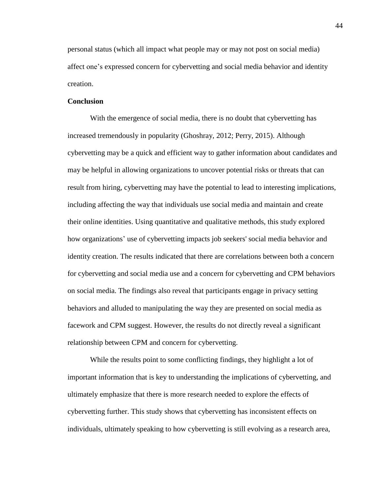personal status (which all impact what people may or may not post on social media) affect one's expressed concern for cybervetting and social media behavior and identity creation.

#### **Conclusion**

With the emergence of social media, there is no doubt that cybervetting has increased tremendously in popularity (Ghoshray, 2012; Perry, 2015). Although cybervetting may be a quick and efficient way to gather information about candidates and may be helpful in allowing organizations to uncover potential risks or threats that can result from hiring, cybervetting may have the potential to lead to interesting implications, including affecting the way that individuals use social media and maintain and create their online identities. Using quantitative and qualitative methods, this study explored how organizations' use of cybervetting impacts job seekers' social media behavior and identity creation. The results indicated that there are correlations between both a concern for cybervetting and social media use and a concern for cybervetting and CPM behaviors on social media. The findings also reveal that participants engage in privacy setting behaviors and alluded to manipulating the way they are presented on social media as facework and CPM suggest. However, the results do not directly reveal a significant relationship between CPM and concern for cybervetting.

While the results point to some conflicting findings, they highlight a lot of important information that is key to understanding the implications of cybervetting, and ultimately emphasize that there is more research needed to explore the effects of cybervetting further. This study shows that cybervetting has inconsistent effects on individuals, ultimately speaking to how cybervetting is still evolving as a research area,

44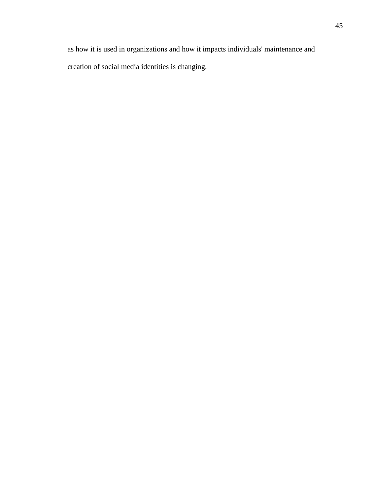as how it is used in organizations and how it impacts individuals' maintenance and creation of social media identities is changing.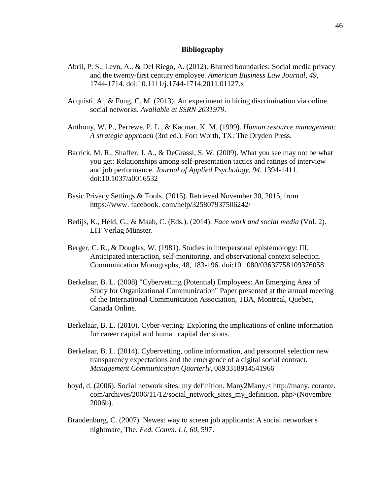#### **Bibliography**

- Abril, P. S., Levn, A., & Del Riego, A. (2012). Blurred boundaries: Social media privacy and the twenty-first century employee. *American Business Law Journal*, *49*, 1744-1714. doi:10.1111/j.1744-1714.2011.01127.x
- Acquisti, A., & Fong, C. M. (2013). An experiment in hiring discrimination via online social networks. *Available at SSRN 2031979*.
- Anthony, W. P., Perrewe, P. L., & Kacmar, K. M. (1999). *Human resource management: A strategic approach* (3rd ed.). Fort Worth, TX: The Dryden Press.
- Barrick, M. R., Shaffer, J. A., & DeGrassi, S. W. (2009). What you see may not be what you get: Relationships among self-presentation tactics and ratings of interview and job performance. *Journal of Applied Psychology*, *94*, 1394-1411. doi:10.1037/a0016532
- Basic Privacy Settings & Tools. (2015). Retrieved November 30, 2015, from https://www. facebook. com/help/325807937506242/
- Bedijs, K., Held, G., & Maab, C. (Eds.). (2014). *Face work and social media* (Vol. 2). LIT Verlag Münster.
- Berger, C. R., & Douglas, W. (1981). Studies in interpersonal epistemology: III. Anticipated interaction, self-monitoring, and observational context selection. Communication Monographs, 48, 183-196. doi:10.1080/03637758109376058
- Berkelaar, B. L. (2008) "Cybervetting (Potential) Employees: An Emerging Area of Study for Organizational Communication" Paper presented at the annual meeting of the International Communication Association, TBA, Montreal, Quebec, Canada Online.
- Berkelaar, B. L. (2010). Cyber-vetting: Exploring the implications of online information for career capital and human capital decisions.
- Berkelaar, B. L. (2014). Cybervetting, online information, and personnel selection new transparency expectations and the emergence of a digital social contract. *Management Communication Quarterly*, 0893318914541966
- boyd, d. (2006). Social network sites: my definition. Many2Many,< http://many. corante. com/archives/2006/11/12/social\_network\_sites\_my\_definition. php>(Novembre 2006b).
- Brandenburg, C. (2007). Newest way to screen job applicants: A social networker's nightmare, The. *Fed. Comm. LJ*, *60*, 597.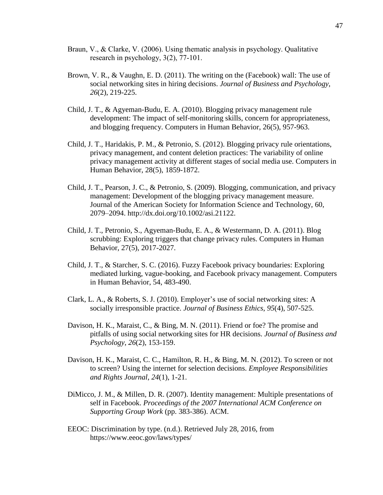- Braun, V., & Clarke, V. (2006). Using thematic analysis in psychology. Qualitative research in psychology, 3(2), 77-101.
- Brown, V. R., & Vaughn, E. D. (2011). The writing on the (Facebook) wall: The use of social networking sites in hiring decisions. *Journal of Business and Psychology*, *26*(2), 219-225.
- Child, J. T., & Agyeman-Budu, E. A. (2010). Blogging privacy management rule development: The impact of self-monitoring skills, concern for appropriateness, and blogging frequency. Computers in Human Behavior, 26(5), 957-963.
- Child, J. T., Haridakis, P. M., & Petronio, S. (2012). Blogging privacy rule orientations, privacy management, and content deletion practices: The variability of online privacy management activity at different stages of social media use. Computers in Human Behavior, 28(5), 1859-1872.
- Child, J. T., Pearson, J. C., & Petronio, S. (2009). Blogging, communication, and privacy management: Development of the blogging privacy management measure. Journal of the American Society for Information Science and Technology, 60, 2079–2094. http://dx.doi.org/10.1002/asi.21122.
- Child, J. T., Petronio, S., Agyeman-Budu, E. A., & Westermann, D. A. (2011). Blog scrubbing: Exploring triggers that change privacy rules. Computers in Human Behavior, 27(5), 2017-2027.
- Child, J. T., & Starcher, S. C. (2016). Fuzzy Facebook privacy boundaries: Exploring mediated lurking, vague-booking, and Facebook privacy management. Computers in Human Behavior, 54, 483-490.
- Clark, L. A., & Roberts, S. J. (2010). Employer's use of social networking sites: A socially irresponsible practice. *Journal of Business Ethics*, *95*(4), 507-525.
- Davison, H. K., Maraist, C., & Bing, M. N. (2011). Friend or foe? The promise and pitfalls of using social networking sites for HR decisions. *Journal of Business and Psychology*, *26*(2), 153-159.
- Davison, H. K., Maraist, C. C., Hamilton, R. H., & Bing, M. N. (2012). To screen or not to screen? Using the internet for selection decisions. *Employee Responsibilities and Rights Journal*, *24*(1), 1-21.
- DiMicco, J. M., & Millen, D. R. (2007). Identity management: Multiple presentations of self in Facebook. *Proceedings of the 2007 International ACM Conference on Supporting Group Work* (pp. 383-386). ACM.
- EEOC: Discrimination by type. (n.d.). Retrieved July 28, 2016, from https://www.eeoc.gov/laws/types/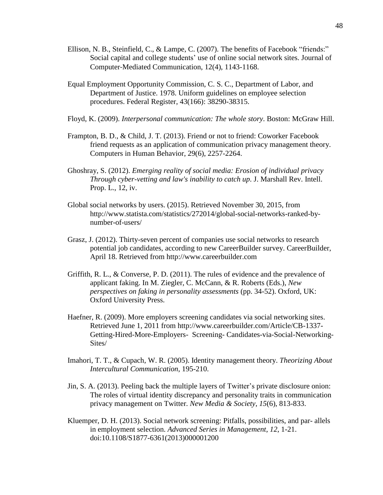- Ellison, N. B., Steinfield, C., & Lampe, C. (2007). The benefits of Facebook "friends:" Social capital and college students' use of online social network sites. Journal of Computer‐Mediated Communication, 12(4), 1143-1168.
- Equal Employment Opportunity Commission, C. S. C., Department of Labor, and Department of Justice. 1978. Uniform guidelines on employee selection procedures. Federal Register, 43(166): 38290-38315.
- Floyd, K. (2009). *Interpersonal communication: The whole story*. Boston: McGraw Hill.
- Frampton, B. D., & Child, J. T. (2013). Friend or not to friend: Coworker Facebook friend requests as an application of communication privacy management theory. Computers in Human Behavior, 29(6), 2257-2264.
- Ghoshray, S. (2012). *Emerging reality of social media: Erosion of individual privacy Through cyber-vetting and law's inability to catch up*. J. Marshall Rev. Intell. Prop. L., 12, iv.
- Global social networks by users. (2015). Retrieved November 30, 2015, from http://www.statista.com/statistics/272014/global-social-networks-ranked-bynumber-of-users/
- Grasz, J. (2012). Thirty-seven percent of companies use social networks to research potential job candidates, according to new CareerBuilder survey. CareerBuilder, April 18. Retrieved from http://www.careerbuilder.com
- Griffith, R. L., & Converse, P. D. (2011). The rules of evidence and the prevalence of applicant faking. In M. Ziegler, C. McCann, & R. Roberts (Eds.), *New perspectives on faking in personality assessments* (pp. 34-52). Oxford, UK: Oxford University Press.
- Haefner, R. (2009). More employers screening candidates via social networking sites. Retrieved June 1, 2011 from http://www.careerbuilder.com/Article/CB-1337- Getting-Hired-More-Employers- Screening- Candidates-via-Social-Networking-Sites/
- Imahori, T. T., & Cupach, W. R. (2005). Identity management theory. *Theorizing About Intercultural Communication*, 195-210.
- Jin, S. A. (2013). Peeling back the multiple layers of Twitter's private disclosure onion: The roles of virtual identity discrepancy and personality traits in communication privacy management on Twitter. *New Media & Society*, *15*(6), 813-833.
- Kluemper, D. H. (2013). Social network screening: Pitfalls, possibilities, and par- allels in employment selection. *Advanced Series in Management*, *12*, 1-21. doi:10.1108/S1877-6361(2013)000001200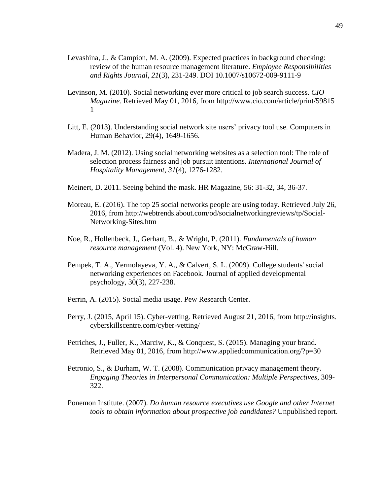- Levashina, J., & Campion, M. A. (2009). Expected practices in background checking: review of the human resource management literature. *Employee Responsibilities and Rights Journal*, *21*(3), 231-249. DOI 10.1007/s10672-009-9111-9
- Levinson, M. (2010). Social networking ever more critical to job search success. *CIO Magazine.* Retrieved May 01, 2016, from http://www.cio.com/article/print/59815 1
- Litt, E. (2013). Understanding social network site users' privacy tool use. Computers in Human Behavior, 29(4), 1649-1656.
- Madera, J. M. (2012). Using social networking websites as a selection tool: The role of selection process fairness and job pursuit intentions. *International Journal of Hospitality Management*, *31*(4), 1276-1282.
- Meinert, D. 2011. Seeing behind the mask. HR Magazine, 56: 31-32, 34, 36-37.
- Moreau, E. (2016). The top 25 social networks people are using today. Retrieved July 26, 2016, from http://webtrends.about.com/od/socialnetworkingreviews/tp/Social-Networking-Sites.htm
- Noe, R., Hollenbeck, J., Gerhart, B., & Wright, P. (2011). *Fundamentals of human resource management* (Vol. 4). New York, NY: McGraw-Hill.
- Pempek, T. A., Yermolayeva, Y. A., & Calvert, S. L. (2009). College students' social networking experiences on Facebook. Journal of applied developmental psychology, 30(3), 227-238.
- Perrin, A. (2015). Social media usage. Pew Research Center.
- Perry, J. (2015, April 15). Cyber-vetting. Retrieved August 21, 2016, from http://insights. cyberskillscentre.com/cyber-vetting/
- Petriches, J., Fuller, K., Marciw, K., & Conquest, S. (2015). Managing your brand. Retrieved May 01, 2016, from http://www.appliedcommunication.org/?p=30
- Petronio, S., & Durham, W. T. (2008). Communication privacy management theory. *Engaging Theories in Interpersonal Communication: Multiple Perspectives*, 309- 322.
- Ponemon Institute. (2007). *Do human resource executives use Google and other Internet tools to obtain information about prospective job candidates?* Unpublished report.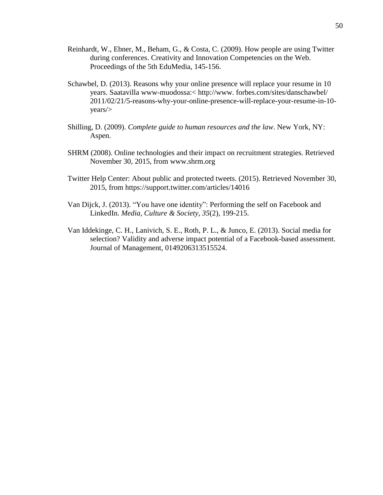- Reinhardt, W., Ebner, M., Beham, G., & Costa, C. (2009). How people are using Twitter during conferences. Creativity and Innovation Competencies on the Web. Proceedings of the 5th EduMedia, 145-156.
- Schawbel, D. (2013). Reasons why your online presence will replace your resume in 10 years. Saatavilla www-muodossa:< http://www. forbes.com/sites/danschawbel/ 2011/02/21/5-reasons-why-your-online-presence-will-replace-your-resume-in-10 years/>
- Shilling, D. (2009). *Complete guide to human resources and the law*. New York, NY: Aspen.
- SHRM (2008). Online technologies and their impact on recruitment strategies. Retrieved November 30, 2015, from www.shrm.org
- Twitter Help Center: About public and protected tweets. (2015). Retrieved November 30, 2015, from https://support.twitter.com/articles/14016
- Van Dijck, J. (2013). "You have one identity": Performing the self on Facebook and LinkedIn. *Media, Culture & Society*, *35*(2), 199-215.
- Van Iddekinge, C. H., Lanivich, S. E., Roth, P. L., & Junco, E. (2013). Social media for selection? Validity and adverse impact potential of a Facebook-based assessment. Journal of Management, 0149206313515524.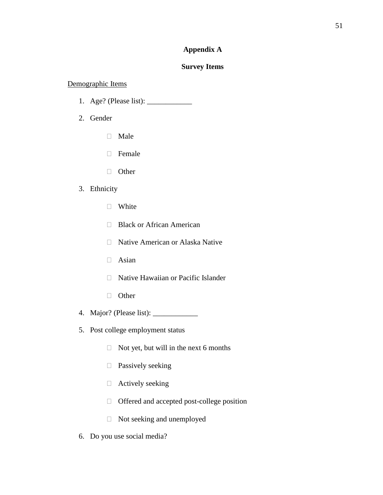# **Appendix A**

## **Survey Items**

## Demographic Items

- 1. Age? (Please list): \_\_\_\_\_\_\_\_\_\_\_\_
- 2. Gender
	- Male
	- Female
	- **D** Other

# 3. Ethnicity

- White
- □ Black or African American
- □ Native American or Alaska Native
- Asian
- □ Native Hawaiian or Pacific Islander
- **D** Other
- 4. Major? (Please list): \_\_\_\_\_\_\_\_\_\_\_\_
- 5. Post college employment status
	- $\Box$  Not yet, but will in the next 6 months
	- Passively seeking
	- Actively seeking
	- Offered and accepted post-college position
	- Not seeking and unemployed
- 6. Do you use social media?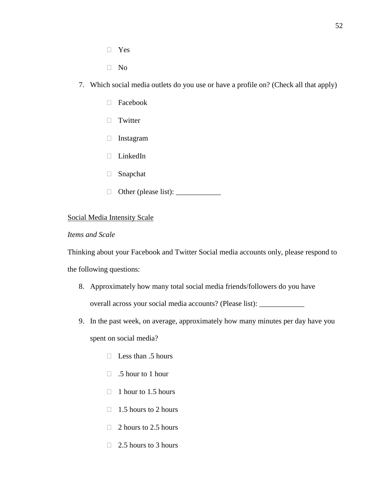- Yes
- $\Box$  No
- 7. Which social media outlets do you use or have a profile on? (Check all that apply)
	- Facebook
	- $\Box$  Twitter
	- $\Box$  Instagram
	- $\Box$  LinkedIn
	- Snapchat
	- $\Box$  Other (please list):  $\Box$

#### Social Media Intensity Scale

## *Items and Scale*

Thinking about your Facebook and Twitter Social media accounts only, please respond to the following questions:

- 8. Approximately how many total social media friends/followers do you have overall across your social media accounts? (Please list): \_\_\_\_\_\_\_\_\_\_\_\_
- 9. In the past week, on average, approximately how many minutes per day have you spent on social media?
	- $\Box$  Less than .5 hours
	- $\Box$  .5 hour to 1 hour
	- $\Box$  1 hour to 1.5 hours
	- $\Box$  1.5 hours to 2 hours
	- $\Box$  2 hours to 2.5 hours
	- $\Box$  2.5 hours to 3 hours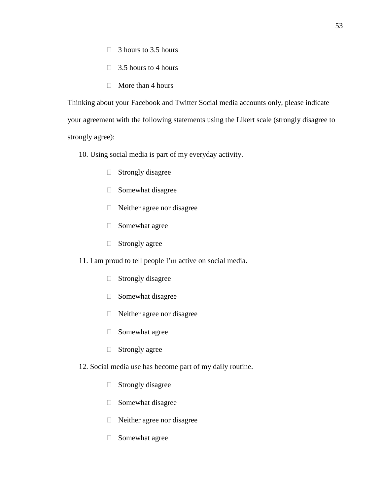- $\Box$  3 hours to 3.5 hours
- $\Box$  3.5 hours to 4 hours
- $\Box$  More than 4 hours

Thinking about your Facebook and Twitter Social media accounts only, please indicate your agreement with the following statements using the Likert scale (strongly disagree to strongly agree):

10. Using social media is part of my everyday activity.

- $\Box$  Strongly disagree
- $\Box$  Somewhat disagree
- Neither agree nor disagree
- Somewhat agree
- □ Strongly agree

11. I am proud to tell people I'm active on social media.

- $\Box$  Strongly disagree
- $\Box$  Somewhat disagree
- Neither agree nor disagree
- Somewhat agree
- $\Box$  Strongly agree
- 12. Social media use has become part of my daily routine.
	- $\Box$  Strongly disagree
	- $\Box$  Somewhat disagree
	- Neither agree nor disagree
	- Somewhat agree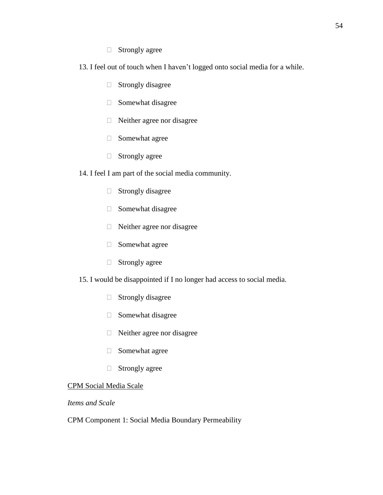□ Strongly agree

13. I feel out of touch when I haven't logged onto social media for a while.

- $\Box$  Strongly disagree
- $\Box$  Somewhat disagree
- Neither agree nor disagree
- $\Box$  Somewhat agree
- $\Box$  Strongly agree
- 14. I feel I am part of the social media community.
	- $\Box$  Strongly disagree
	- Somewhat disagree
	- Neither agree nor disagree
	- Somewhat agree
	- □ Strongly agree
- 15. I would be disappointed if I no longer had access to social media.
	- Strongly disagree
	- $\Box$  Somewhat disagree
	- Neither agree nor disagree
	- $\Box$  Somewhat agree
	- $\Box$  Strongly agree

#### CPM Social Media Scale

# *Items and Scale*

# CPM Component 1: Social Media Boundary Permeability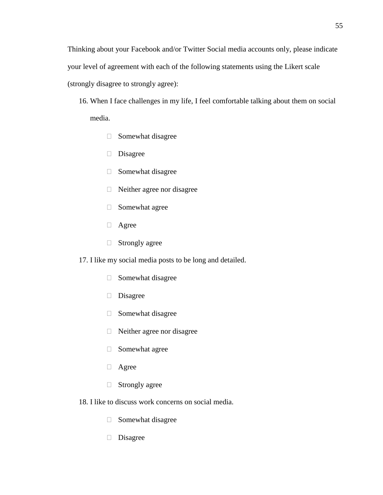Thinking about your Facebook and/or Twitter Social media accounts only, please indicate your level of agreement with each of the following statements using the Likert scale (strongly disagree to strongly agree):

16. When I face challenges in my life, I feel comfortable talking about them on social media.

- $\Box$  Somewhat disagree
- Disagree
- $\Box$  Somewhat disagree
- Neither agree nor disagree
- Somewhat agree
- Agree
- Strongly agree

17. I like my social media posts to be long and detailed.

- Somewhat disagree
- Disagree
- $\Box$  Somewhat disagree
- Neither agree nor disagree
- Somewhat agree
- Agree
- $\Box$  Strongly agree
- 18. I like to discuss work concerns on social media.
	- $\Box$  Somewhat disagree
	- Disagree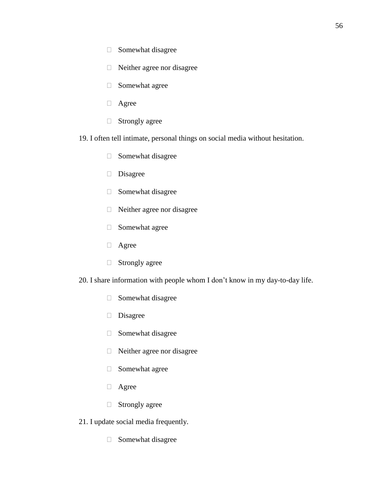- Somewhat disagree
- Neither agree nor disagree
- **Somewhat agree**
- Agree
- □ Strongly agree
- 19. I often tell intimate, personal things on social media without hesitation.
	- **Somewhat disagree**
	- Disagree
	- Somewhat disagree
	- Neither agree nor disagree
	- Somewhat agree
	- Agree
	- Strongly agree
- 20. I share information with people whom I don't know in my day-to-day life.
	- Somewhat disagree
	- Disagree
	- $\Box$  Somewhat disagree
	- Neither agree nor disagree
	- $\Box$  Somewhat agree
	- Agree
	- Strongly agree
- 21. I update social media frequently.
	- Somewhat disagree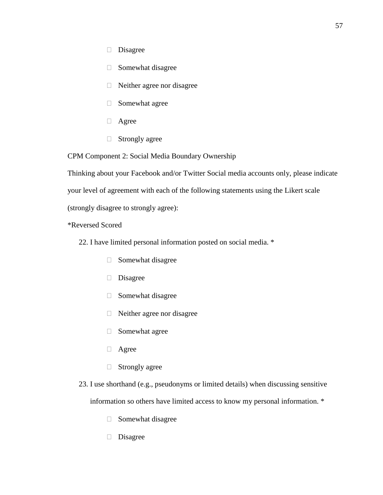- Disagree
- $\Box$  Somewhat disagree
- Neither agree nor disagree
- Somewhat agree
- Agree
- $\Box$  Strongly agree

CPM Component 2: Social Media Boundary Ownership

Thinking about your Facebook and/or Twitter Social media accounts only, please indicate

your level of agreement with each of the following statements using the Likert scale

(strongly disagree to strongly agree):

## \*Reversed Scored

22. I have limited personal information posted on social media. \*

- $\Box$  Somewhat disagree
- Disagree
- $\Box$  Somewhat disagree
- Neither agree nor disagree
- Somewhat agree
- Agree
- □ Strongly agree
- 23. I use shorthand (e.g., pseudonyms or limited details) when discussing sensitive information so others have limited access to know my personal information. \*
	- $\Box$  Somewhat disagree
	- Disagree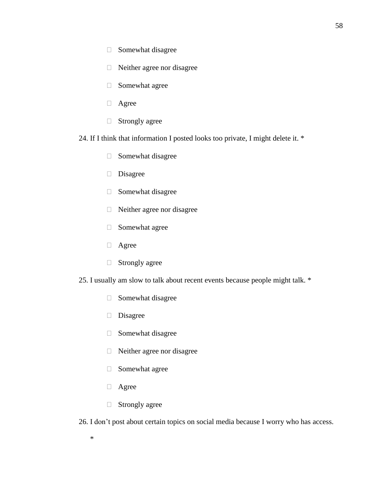- $\Box$  Somewhat disagree
- Neither agree nor disagree
- Somewhat agree
- Agree
- Strongly agree
- 24. If I think that information I posted looks too private, I might delete it. \*
	- **Somewhat disagree**
	- Disagree
	- $\Box$  Somewhat disagree
	- Neither agree nor disagree
	- Somewhat agree
	- Agree
	- Strongly agree
- 25. I usually am slow to talk about recent events because people might talk. \*
	- Somewhat disagree
	- Disagree
	- $\Box$  Somewhat disagree
	- Neither agree nor disagree
	- $\Box$  Somewhat agree
	- Agree

\*

Strongly agree

26. I don't post about certain topics on social media because I worry who has access.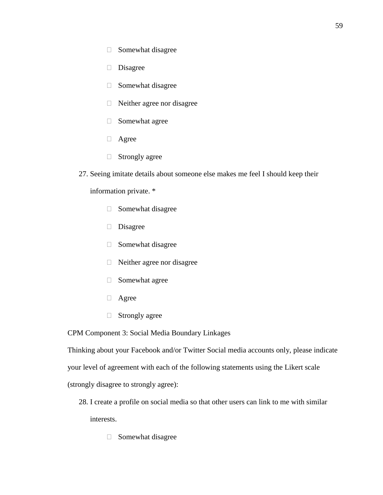- $\Box$  Somewhat disagree
- Disagree
- $\Box$  Somewhat disagree
- Neither agree nor disagree
- Somewhat agree
- Agree
- $\Box$  Strongly agree
- 27. Seeing imitate details about someone else makes me feel I should keep their

information private. \*

- $\Box$  Somewhat disagree
- Disagree
- $\Box$  Somewhat disagree
- Neither agree nor disagree
- Somewhat agree
- Agree
- Strongly agree

CPM Component 3: Social Media Boundary Linkages

Thinking about your Facebook and/or Twitter Social media accounts only, please indicate your level of agreement with each of the following statements using the Likert scale (strongly disagree to strongly agree):

- 28. I create a profile on social media so that other users can link to me with similar interests.
	- $\Box$  Somewhat disagree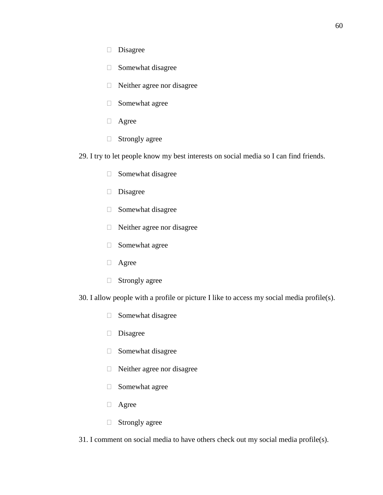- Disagree
- $\Box$  Somewhat disagree
- Neither agree nor disagree
- $\Box$  Somewhat agree
- Agree
- $\Box$  Strongly agree
- 29. I try to let people know my best interests on social media so I can find friends.
	- Somewhat disagree
	- Disagree
	- $\Box$  Somewhat disagree
	- Neither agree nor disagree
	- Somewhat agree
	- Agree
	- □ Strongly agree
- 30. I allow people with a profile or picture I like to access my social media profile(s).
	- $\Box$  Somewhat disagree
	- Disagree
	- **Somewhat disagree**
	- Neither agree nor disagree
	- Somewhat agree
	- Agree
	- Strongly agree
- 31. I comment on social media to have others check out my social media profile(s).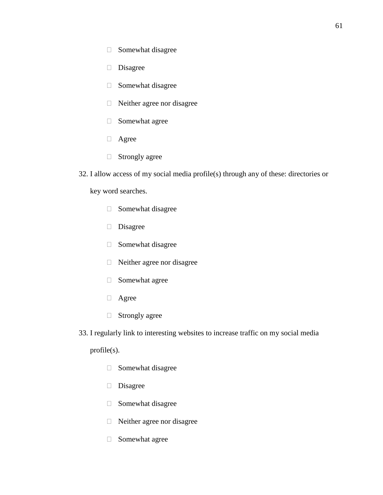- Somewhat disagree
- Disagree
- $\Box$  Somewhat disagree
- Neither agree nor disagree
- Somewhat agree
- Agree
- $\Box$  Strongly agree
- 32. I allow access of my social media profile(s) through any of these: directories or

key word searches.

- Somewhat disagree
- Disagree
- Somewhat disagree
- Neither agree nor disagree
- Somewhat agree
- Agree
- □ Strongly agree
- 33. I regularly link to interesting websites to increase traffic on my social media

profile(s).

- $\Box$  Somewhat disagree
- Disagree
- Somewhat disagree
- Neither agree nor disagree
- Somewhat agree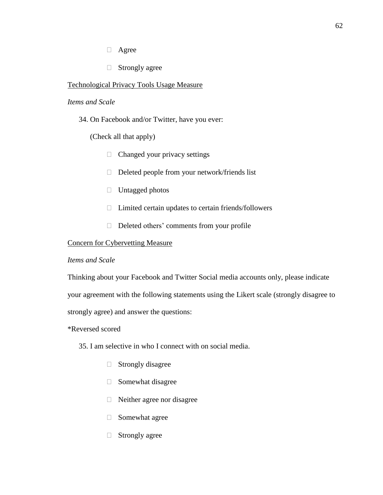- Agree
- □ Strongly agree

## Technological Privacy Tools Usage Measure

## *Items and Scale*

34. On Facebook and/or Twitter, have you ever:

## (Check all that apply)

- $\Box$  Changed your privacy settings
- $\Box$  Deleted people from your network/friends list
- $\Box$  Untagged photos
- $\Box$  Limited certain updates to certain friends/followers
- $\Box$  Deleted others' comments from your profile

#### Concern for Cybervetting Measure

#### *Items and Scale*

Thinking about your Facebook and Twitter Social media accounts only, please indicate

your agreement with the following statements using the Likert scale (strongly disagree to

strongly agree) and answer the questions:

\*Reversed scored

35. I am selective in who I connect with on social media.

- $\Box$  Strongly disagree
- $\Box$  Somewhat disagree
- Neither agree nor disagree
- Somewhat agree
- □ Strongly agree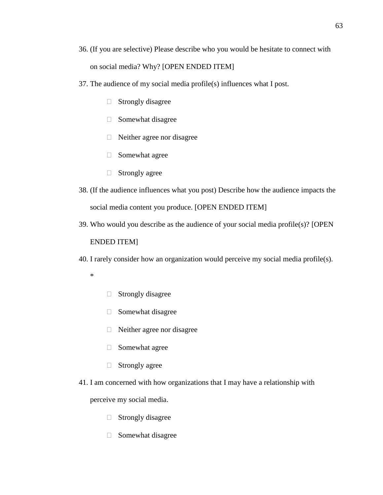- 36. (If you are selective) Please describe who you would be hesitate to connect with on social media? Why? [OPEN ENDED ITEM]
- 37. The audience of my social media profile(s) influences what I post.
	- $\Box$  Strongly disagree
	- $\Box$  Somewhat disagree
	- Neither agree nor disagree
	- Somewhat agree
	- $\Box$  Strongly agree
- 38. (If the audience influences what you post) Describe how the audience impacts the social media content you produce. [OPEN ENDED ITEM]
- 39. Who would you describe as the audience of your social media profile(s)? [OPEN ENDED ITEM]
- 40. I rarely consider how an organization would perceive my social media profile(s).
	- \*
- $\Box$  Strongly disagree
- $\Box$  Somewhat disagree
- Neither agree nor disagree
- Somewhat agree
- $\Box$  Strongly agree
- 41. I am concerned with how organizations that I may have a relationship with perceive my social media.
	- $\Box$  Strongly disagree
	- $\Box$  Somewhat disagree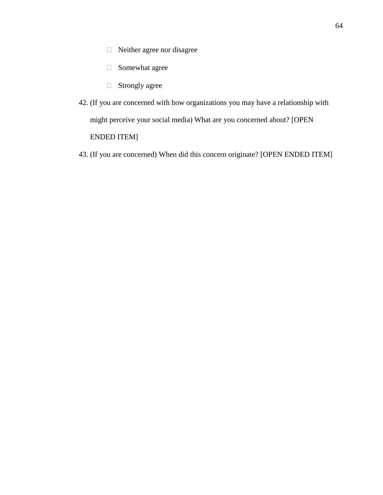- Neither agree nor disagree
- Somewhat agree
- Strongly agree
- 42. (If you are concerned with how organizations you may have a relationship with might perceive your social media) What are you concerned about? [OPEN ENDED ITEM]
- 43. (If you are concerned) When did this concern originate? [OPEN ENDED ITEM]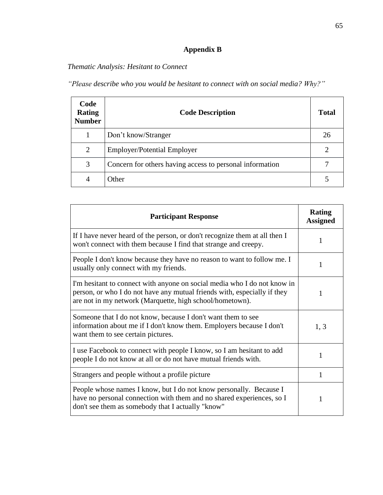# **Appendix B**

*Thematic Analysis: Hesitant to Connect*

*"Please describe who you would be hesitant to connect with on social media? Why?"*

| Code<br><b>Rating</b><br><b>Number</b> | <b>Code Description</b>                                  | <b>Total</b> |
|----------------------------------------|----------------------------------------------------------|--------------|
|                                        | Don't know/Stranger                                      | 26           |
| 2                                      | <b>Employer/Potential Employer</b>                       | 2            |
| 3                                      | Concern for others having access to personal information |              |
| 4                                      | Other                                                    |              |

| <b>Participant Response</b>                                                                                                                                                                                      | <b>Rating</b><br><b>Assigned</b> |
|------------------------------------------------------------------------------------------------------------------------------------------------------------------------------------------------------------------|----------------------------------|
| If I have never heard of the person, or don't recognize them at all then I<br>won't connect with them because I find that strange and creepy.                                                                    | 1                                |
| People I don't know because they have no reason to want to follow me. I<br>usually only connect with my friends.                                                                                                 | 1                                |
| I'm hesitant to connect with anyone on social media who I do not know in<br>person, or who I do not have any mutual friends with, especially if they<br>are not in my network (Marquette, high school/hometown). | 1                                |
| Someone that I do not know, because I don't want them to see<br>information about me if I don't know them. Employers because I don't<br>want them to see certain pictures.                                       | 1, 3                             |
| I use Facebook to connect with people I know, so I am hesitant to add<br>people I do not know at all or do not have mutual friends with.                                                                         | 1                                |
| Strangers and people without a profile picture                                                                                                                                                                   |                                  |
| People whose names I know, but I do not know personally. Because I<br>have no personal connection with them and no shared experiences, so I<br>don't see them as somebody that I actually "know"                 | 1                                |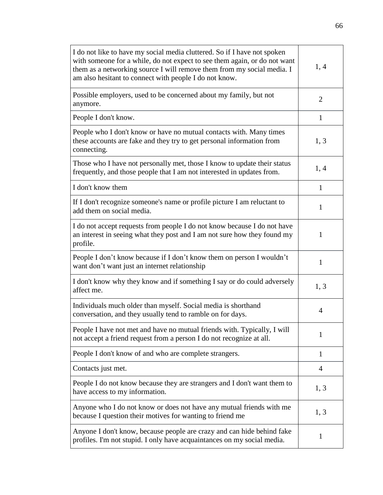| I do not like to have my social media cluttered. So if I have not spoken<br>with someone for a while, do not expect to see them again, or do not want<br>them as a networking source I will remove them from my social media. I<br>am also hesitant to connect with people I do not know. | 1, 4           |
|-------------------------------------------------------------------------------------------------------------------------------------------------------------------------------------------------------------------------------------------------------------------------------------------|----------------|
| Possible employers, used to be concerned about my family, but not<br>anymore.                                                                                                                                                                                                             | $\overline{2}$ |
| People I don't know.                                                                                                                                                                                                                                                                      | $\mathbf{1}$   |
| People who I don't know or have no mutual contacts with. Many times<br>these accounts are fake and they try to get personal information from<br>connecting.                                                                                                                               | 1, 3           |
| Those who I have not personally met, those I know to update their status<br>frequently, and those people that I am not interested in updates from.                                                                                                                                        | 1, 4           |
| I don't know them                                                                                                                                                                                                                                                                         | 1              |
| If I don't recognize someone's name or profile picture I am reluctant to<br>add them on social media.                                                                                                                                                                                     | 1              |
| I do not accept requests from people I do not know because I do not have<br>an interest in seeing what they post and I am not sure how they found my<br>profile.                                                                                                                          | 1              |
| People I don't know because if I don't know them on person I wouldn't<br>want don't want just an internet relationship                                                                                                                                                                    | 1              |
| I don't know why they know and if something I say or do could adversely<br>affect me.                                                                                                                                                                                                     | 1, 3           |
| Individuals much older than myself. Social media is shorthand<br>conversation, and they usually tend to ramble on for days.                                                                                                                                                               | 4              |
| People I have not met and have no mutual friends with. Typically, I will<br>not accept a friend request from a person I do not recognize at all.                                                                                                                                          | 1              |
| People I don't know of and who are complete strangers.                                                                                                                                                                                                                                    | $\mathbf{1}$   |
| Contacts just met.                                                                                                                                                                                                                                                                        | 4              |
| People I do not know because they are strangers and I don't want them to<br>have access to my information.                                                                                                                                                                                | 1, 3           |
| Anyone who I do not know or does not have any mutual friends with me<br>because I question their motives for wanting to friend me                                                                                                                                                         | 1, 3           |
| Anyone I don't know, because people are crazy and can hide behind fake<br>profiles. I'm not stupid. I only have acquaintances on my social media.                                                                                                                                         | 1              |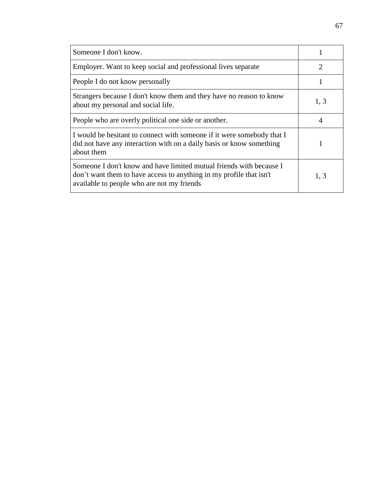| Someone I don't know.                                                                                                                                                                    |                             |
|------------------------------------------------------------------------------------------------------------------------------------------------------------------------------------------|-----------------------------|
| Employer. Want to keep social and professional lives separate                                                                                                                            | $\mathcal{D}_{\mathcal{L}}$ |
| People I do not know personally                                                                                                                                                          |                             |
| Strangers because I don't know them and they have no reason to know<br>about my personal and social life.                                                                                | 1, 3                        |
| People who are overly political one side or another.                                                                                                                                     | 4                           |
| I would be hesitant to connect with someone if it were somebody that I<br>did not have any interaction with on a daily basis or know something<br>about them                             |                             |
| Someone I don't know and have limited mutual friends with because I<br>don't want them to have access to anything in my profile that isn't<br>available to people who are not my friends | 1.3                         |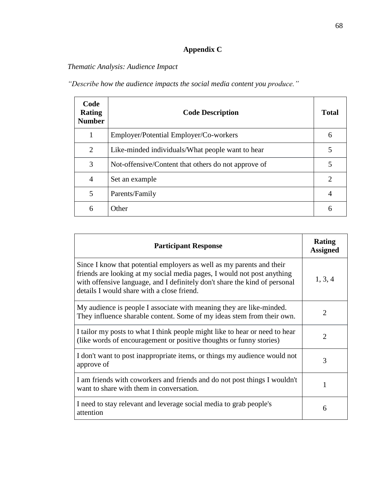# **Appendix C**

*Thematic Analysis: Audience Impact*

*"Describe how the audience impacts the social media content you produce."*

| Code<br><b>Rating</b><br><b>Number</b> | <b>Code Description</b>                             | <b>Total</b>   |
|----------------------------------------|-----------------------------------------------------|----------------|
| 1                                      | Employer/Potential Employer/Co-workers              | 6              |
| $\overline{2}$                         | Like-minded individuals/What people want to hear    | 5              |
| 3                                      | Not-offensive/Content that others do not approve of | 5              |
| $\overline{4}$                         | Set an example                                      | $\overline{2}$ |
| 5                                      | Parents/Family                                      | 4              |
| 6                                      | Other                                               | 6              |

| <b>Participant Response</b>                                                                                                                                                                                                                                                  | Rating<br><b>Assigned</b> |
|------------------------------------------------------------------------------------------------------------------------------------------------------------------------------------------------------------------------------------------------------------------------------|---------------------------|
| Since I know that potential employers as well as my parents and their<br>friends are looking at my social media pages, I would not post anything<br>with offensive language, and I definitely don't share the kind of personal<br>details I would share with a close friend. | 1, 3, 4                   |
| My audience is people I associate with meaning they are like-minded.<br>They influence sharable content. Some of my ideas stem from their own.                                                                                                                               | $\overline{2}$            |
| I tailor my posts to what I think people might like to hear or need to hear<br>(like words of encouragement or positive thoughts or funny stories)                                                                                                                           | $\overline{2}$            |
| I don't want to post inappropriate items, or things my audience would not<br>approve of                                                                                                                                                                                      | 3                         |
| I am friends with coworkers and friends and do not post things I wouldn't<br>want to share with them in conversation.                                                                                                                                                        |                           |
| I need to stay relevant and leverage social media to grab people's<br>attention                                                                                                                                                                                              | 6                         |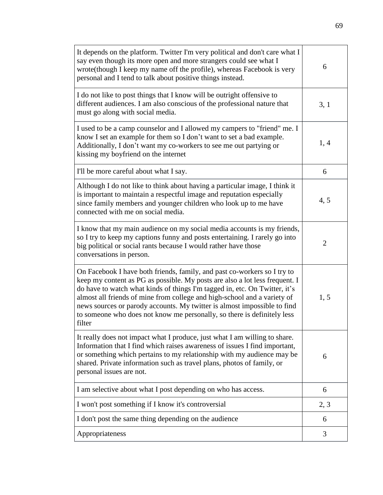| It depends on the platform. Twitter I'm very political and don't care what I<br>say even though its more open and more strangers could see what I<br>wrote(though I keep my name off the profile), whereas Facebook is very<br>personal and I tend to talk about positive things instead.                                                                                                                                                                                          | 6              |
|------------------------------------------------------------------------------------------------------------------------------------------------------------------------------------------------------------------------------------------------------------------------------------------------------------------------------------------------------------------------------------------------------------------------------------------------------------------------------------|----------------|
| I do not like to post things that I know will be outright offensive to<br>different audiences. I am also conscious of the professional nature that<br>must go along with social media.                                                                                                                                                                                                                                                                                             | 3, 1           |
| I used to be a camp counselor and I allowed my campers to "friend" me. I<br>know I set an example for them so I don't want to set a bad example.<br>Additionally, I don't want my co-workers to see me out partying or<br>kissing my boyfriend on the internet                                                                                                                                                                                                                     | 1, 4           |
| I'll be more careful about what I say.                                                                                                                                                                                                                                                                                                                                                                                                                                             | 6              |
| Although I do not like to think about having a particular image, I think it<br>is important to maintain a respectful image and reputation especially<br>since family members and younger children who look up to me have<br>connected with me on social media.                                                                                                                                                                                                                     | 4, 5           |
| I know that my main audience on my social media accounts is my friends,<br>so I try to keep my captions funny and posts entertaining. I rarely go into<br>big political or social rants because I would rather have those<br>conversations in person.                                                                                                                                                                                                                              | $\overline{2}$ |
| On Facebook I have both friends, family, and past co-workers so I try to<br>keep my content as PG as possible. My posts are also a lot less frequent. I<br>do have to watch what kinds of things I'm tagged in, etc. On Twitter, it's<br>almost all friends of mine from college and high-school and a variety of<br>news sources or parody accounts. My twitter is almost impossible to find<br>to someone who does not know me personally, so there is definitely less<br>filter | 1, 5           |
| It really does not impact what I produce, just what I am willing to share.<br>Information that I find which raises awareness of issues I find important,<br>or something which pertains to my relationship with my audience may be<br>shared. Private information such as travel plans, photos of family, or<br>personal issues are not.                                                                                                                                           | 6              |
| I am selective about what I post depending on who has access.                                                                                                                                                                                                                                                                                                                                                                                                                      | 6              |
| I won't post something if I know it's controversial                                                                                                                                                                                                                                                                                                                                                                                                                                | 2, 3           |
| I don't post the same thing depending on the audience                                                                                                                                                                                                                                                                                                                                                                                                                              | 6              |
| Appropriateness                                                                                                                                                                                                                                                                                                                                                                                                                                                                    | 3              |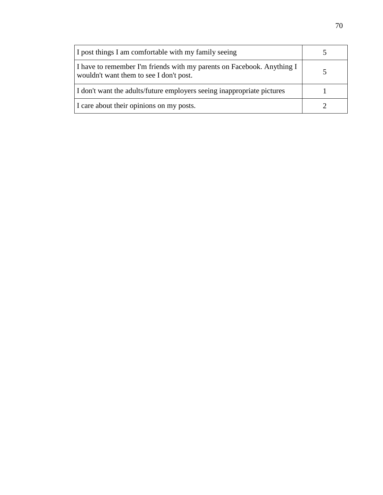| I post things I am comfortable with my family seeing                                                              |  |
|-------------------------------------------------------------------------------------------------------------------|--|
| I have to remember I'm friends with my parents on Facebook. Anything I<br>wouldn't want them to see I don't post. |  |
| I don't want the adults/future employers seeing inappropriate pictures                                            |  |
| I care about their opinions on my posts.                                                                          |  |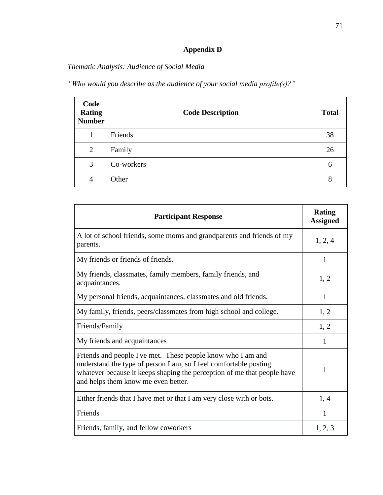# **Appendix D**

### *Thematic Analysis: Audience of Social Media*

*"Who would you describe as the audience of your social media profile(s)?"*

| Code<br><b>Rating</b><br><b>Number</b> | <b>Code Description</b> | <b>Total</b> |
|----------------------------------------|-------------------------|--------------|
| $\mathbf{1}$                           | Friends                 | 38           |
| 2                                      | Family                  | 26           |
| 3                                      | Co-workers              | 6            |
| $\overline{4}$                         | Other                   | 8            |

| <b>Participant Response</b>                                                                                                                                                                                                                        | <b>Rating</b><br><b>Assigned</b> |
|----------------------------------------------------------------------------------------------------------------------------------------------------------------------------------------------------------------------------------------------------|----------------------------------|
| A lot of school friends, some moms and grandparents and friends of my<br>parents.                                                                                                                                                                  | 1, 2, 4                          |
| My friends or friends of friends.                                                                                                                                                                                                                  | 1                                |
| My friends, classmates, family members, family friends, and<br>acquaintances.                                                                                                                                                                      | 1, 2                             |
| My personal friends, acquaintances, classmates and old friends.                                                                                                                                                                                    | 1                                |
| My family, friends, peers/classmates from high school and college.                                                                                                                                                                                 | 1, 2                             |
| Friends/Family                                                                                                                                                                                                                                     | 1, 2                             |
| My friends and acquaintances                                                                                                                                                                                                                       | 1                                |
| Friends and people I've met. These people know who I am and<br>understand the type of person I am, so I feel comfortable posting<br>whatever because it keeps shaping the perception of me that people have<br>and helps them know me even better. | 1                                |
| Either friends that I have met or that I am very close with or bots.                                                                                                                                                                               | 1, 4                             |
| Friends                                                                                                                                                                                                                                            | 1                                |
| Friends, family, and fellow coworkers                                                                                                                                                                                                              | 1, 2, 3                          |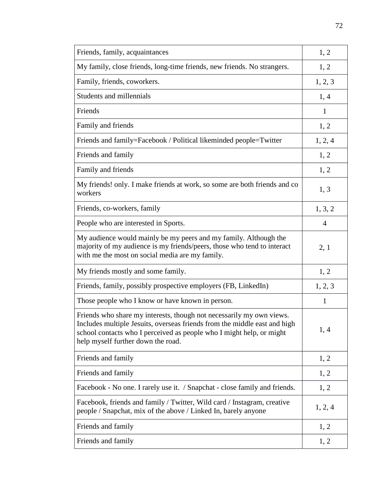| Friends, family, acquaintances                                                                                                                                                                                                                                  | 1, 2           |
|-----------------------------------------------------------------------------------------------------------------------------------------------------------------------------------------------------------------------------------------------------------------|----------------|
| My family, close friends, long-time friends, new friends. No strangers.                                                                                                                                                                                         | 1, 2           |
| Family, friends, coworkers.                                                                                                                                                                                                                                     | 1, 2, 3        |
| Students and millennials                                                                                                                                                                                                                                        | 1, 4           |
| Friends                                                                                                                                                                                                                                                         | $\mathbf{1}$   |
| Family and friends                                                                                                                                                                                                                                              | 1, 2           |
| Friends and family=Facebook / Political likeminded people=Twitter                                                                                                                                                                                               | 1, 2, 4        |
| Friends and family                                                                                                                                                                                                                                              | 1, 2           |
| Family and friends                                                                                                                                                                                                                                              | 1, 2           |
| My friends! only. I make friends at work, so some are both friends and co<br>workers                                                                                                                                                                            | 1, 3           |
| Friends, co-workers, family                                                                                                                                                                                                                                     | 1, 3, 2        |
| People who are interested in Sports.                                                                                                                                                                                                                            | $\overline{4}$ |
| My audience would mainly be my peers and my family. Although the<br>majority of my audience is my friends/peers, those who tend to interact<br>with me the most on social media are my family.                                                                  | 2, 1           |
| My friends mostly and some family.                                                                                                                                                                                                                              | 1, 2           |
| Friends, family, possibly prospective employers (FB, LinkedIn)                                                                                                                                                                                                  | 1, 2, 3        |
| Those people who I know or have known in person.                                                                                                                                                                                                                | 1              |
| Friends who share my interests, though not necessarily my own views.<br>Includes multiple Jesuits, overseas friends from the middle east and high<br>school contacts who I perceived as people who I might help, or might<br>help myself further down the road. | 1, 4           |
| Friends and family                                                                                                                                                                                                                                              | 1, 2           |
| Friends and family                                                                                                                                                                                                                                              | 1, 2           |
| Facebook - No one. I rarely use it. / Snapchat - close family and friends.                                                                                                                                                                                      | 1, 2           |
| Facebook, friends and family / Twitter, Wild card / Instagram, creative<br>people / Snapchat, mix of the above / Linked In, barely anyone                                                                                                                       | 1, 2, 4        |
| Friends and family                                                                                                                                                                                                                                              | 1, 2           |
| Friends and family                                                                                                                                                                                                                                              | 1, 2           |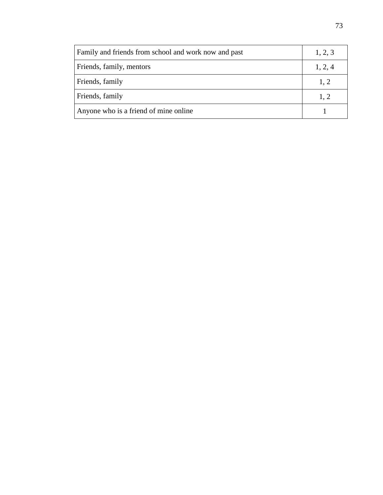| Family and friends from school and work now and past | 1, 2, 3 |
|------------------------------------------------------|---------|
| Friends, family, mentors                             | 1, 2, 4 |
| Friends, family                                      | 1, 2    |
| Friends, family                                      | 1, 2    |
| Anyone who is a friend of mine online                |         |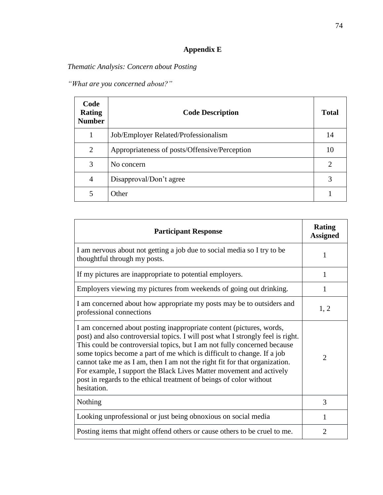## **Appendix E**

# *Thematic Analysis: Concern about Posting*

*"What are you concerned about?"*

| Code<br><b>Rating</b><br><b>Number</b> | <b>Code Description</b>                       | <b>Total</b> |
|----------------------------------------|-----------------------------------------------|--------------|
|                                        | Job/Employer Related/Professionalism          | 14           |
| 2                                      | Appropriateness of posts/Offensive/Perception | 10           |
| 3                                      | No concern                                    | 2            |
| $\overline{4}$                         | Disapproval/Don't agree                       | 3            |
| 5                                      | Other                                         |              |

| <b>Participant Response</b>                                                                                                                                                                                                                                                                                                                                                                                                                                                                                                                              | <b>Rating</b><br><b>Assigned</b> |
|----------------------------------------------------------------------------------------------------------------------------------------------------------------------------------------------------------------------------------------------------------------------------------------------------------------------------------------------------------------------------------------------------------------------------------------------------------------------------------------------------------------------------------------------------------|----------------------------------|
| I am nervous about not getting a job due to social media so I try to be<br>thoughtful through my posts.                                                                                                                                                                                                                                                                                                                                                                                                                                                  | 1                                |
| If my pictures are inappropriate to potential employers.                                                                                                                                                                                                                                                                                                                                                                                                                                                                                                 | 1                                |
| Employers viewing my pictures from weekends of going out drinking.                                                                                                                                                                                                                                                                                                                                                                                                                                                                                       | 1                                |
| I am concerned about how appropriate my posts may be to outsiders and<br>professional connections                                                                                                                                                                                                                                                                                                                                                                                                                                                        | 1, 2                             |
| I am concerned about posting inappropriate content (pictures, words,<br>post) and also controversial topics. I will post what I strongly feel is right.<br>This could be controversial topics, but I am not fully concerned because<br>some topics become a part of me which is difficult to change. If a job<br>cannot take me as I am, then I am not the right fit for that organization.<br>For example, I support the Black Lives Matter movement and actively<br>post in regards to the ethical treatment of beings of color without<br>hesitation. | $\overline{2}$                   |
| Nothing                                                                                                                                                                                                                                                                                                                                                                                                                                                                                                                                                  | 3                                |
| Looking unprofessional or just being obnoxious on social media                                                                                                                                                                                                                                                                                                                                                                                                                                                                                           | 1                                |
| Posting items that might offend others or cause others to be cruel to me.                                                                                                                                                                                                                                                                                                                                                                                                                                                                                | $\overline{2}$                   |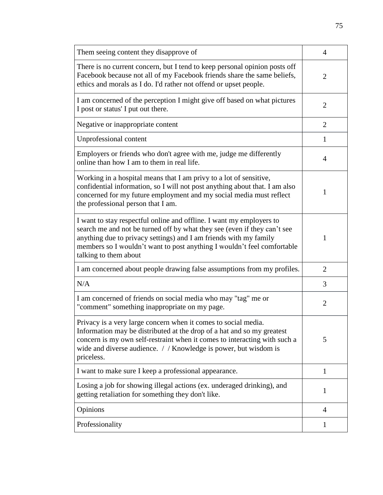| Them seeing content they disapprove of                                                                                                                                                                                                                                                                                    | $\overline{4}$ |
|---------------------------------------------------------------------------------------------------------------------------------------------------------------------------------------------------------------------------------------------------------------------------------------------------------------------------|----------------|
| There is no current concern, but I tend to keep personal opinion posts off<br>Facebook because not all of my Facebook friends share the same beliefs,<br>ethics and morals as I do. I'd rather not offend or upset people.                                                                                                | $\overline{2}$ |
| I am concerned of the perception I might give off based on what pictures<br>I post or status' I put out there.                                                                                                                                                                                                            | $\overline{2}$ |
| Negative or inappropriate content                                                                                                                                                                                                                                                                                         | $\overline{2}$ |
| Unprofessional content                                                                                                                                                                                                                                                                                                    | 1              |
| Employers or friends who don't agree with me, judge me differently<br>online than how I am to them in real life.                                                                                                                                                                                                          | $\overline{4}$ |
| Working in a hospital means that I am privy to a lot of sensitive,<br>confidential information, so I will not post anything about that. I am also<br>concerned for my future employment and my social media must reflect<br>the professional person that I am.                                                            | 1              |
| I want to stay respectful online and offline. I want my employers to<br>search me and not be turned off by what they see (even if they can't see<br>anything due to privacy settings) and I am friends with my family<br>members so I wouldn't want to post anything I wouldn't feel comfortable<br>talking to them about | 1              |
| I am concerned about people drawing false assumptions from my profiles.                                                                                                                                                                                                                                                   | 2              |
| N/A                                                                                                                                                                                                                                                                                                                       | 3              |
| I am concerned of friends on social media who may "tag" me or<br>"comment" something inappropriate on my page.                                                                                                                                                                                                            | $\overline{2}$ |
| Privacy is a very large concern when it comes to social media.<br>Information may be distributed at the drop of a hat and so my greatest<br>concern is my own self-restraint when it comes to interacting with such a<br>wide and diverse audience. $//$ Knowledge is power, but wisdom is<br>priceless.                  | 5              |
| I want to make sure I keep a professional appearance.                                                                                                                                                                                                                                                                     | 1              |
| Losing a job for showing illegal actions (ex. underaged drinking), and<br>getting retaliation for something they don't like.                                                                                                                                                                                              | 1              |
| Opinions                                                                                                                                                                                                                                                                                                                  | $\overline{4}$ |
| Professionality                                                                                                                                                                                                                                                                                                           | 1              |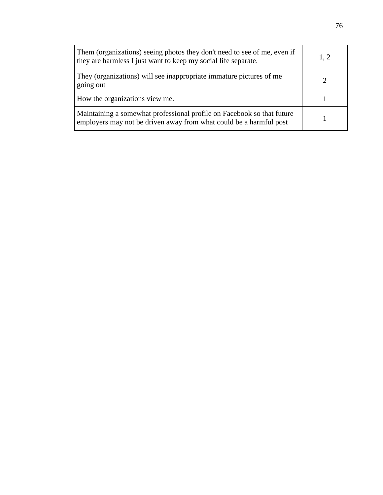| Them (organizations) seeing photos they don't need to see of me, even if<br>they are harmless I just want to keep my social life separate.   | 1, 2 |
|----------------------------------------------------------------------------------------------------------------------------------------------|------|
| They (organizations) will see inappropriate immature pictures of me<br>going out                                                             |      |
| How the organizations view me.                                                                                                               |      |
| Maintaining a somewhat professional profile on Facebook so that future<br>employers may not be driven away from what could be a harmful post |      |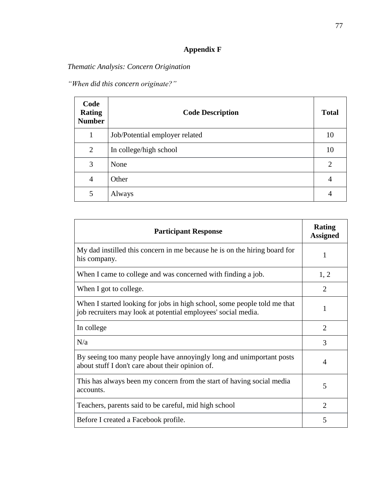# **Appendix F**

# *Thematic Analysis: Concern Origination*

*"When did this concern originate?"*

| Code<br><b>Rating</b><br><b>Number</b> | <b>Code Description</b>        | <b>Total</b>   |
|----------------------------------------|--------------------------------|----------------|
| 1                                      | Job/Potential employer related | 10             |
| $\overline{2}$                         | In college/high school         | 10             |
| 3                                      | None                           | $\overline{2}$ |
| $\overline{4}$                         | Other                          | 4              |
| 5                                      | Always                         | 4              |

| <b>Participant Response</b>                                                                                                               | <b>Rating</b><br><b>Assigned</b> |
|-------------------------------------------------------------------------------------------------------------------------------------------|----------------------------------|
| My dad instilled this concern in me because he is on the hiring board for<br>his company.                                                 | 1                                |
| When I came to college and was concerned with finding a job.                                                                              | 1, 2                             |
| When I got to college.                                                                                                                    | $\mathcal{D}_{\mathcal{L}}$      |
| When I started looking for jobs in high school, some people told me that<br>job recruiters may look at potential employees' social media. | 1                                |
| In college                                                                                                                                | $\overline{2}$                   |
| N/a                                                                                                                                       | 3                                |
| By seeing too many people have annoyingly long and unimportant posts<br>about stuff I don't care about their opinion of.                  | 4                                |
| This has always been my concern from the start of having social media<br>accounts.                                                        | 5                                |
| Teachers, parents said to be careful, mid high school                                                                                     | $\overline{2}$                   |
| Before I created a Facebook profile.                                                                                                      | 5                                |